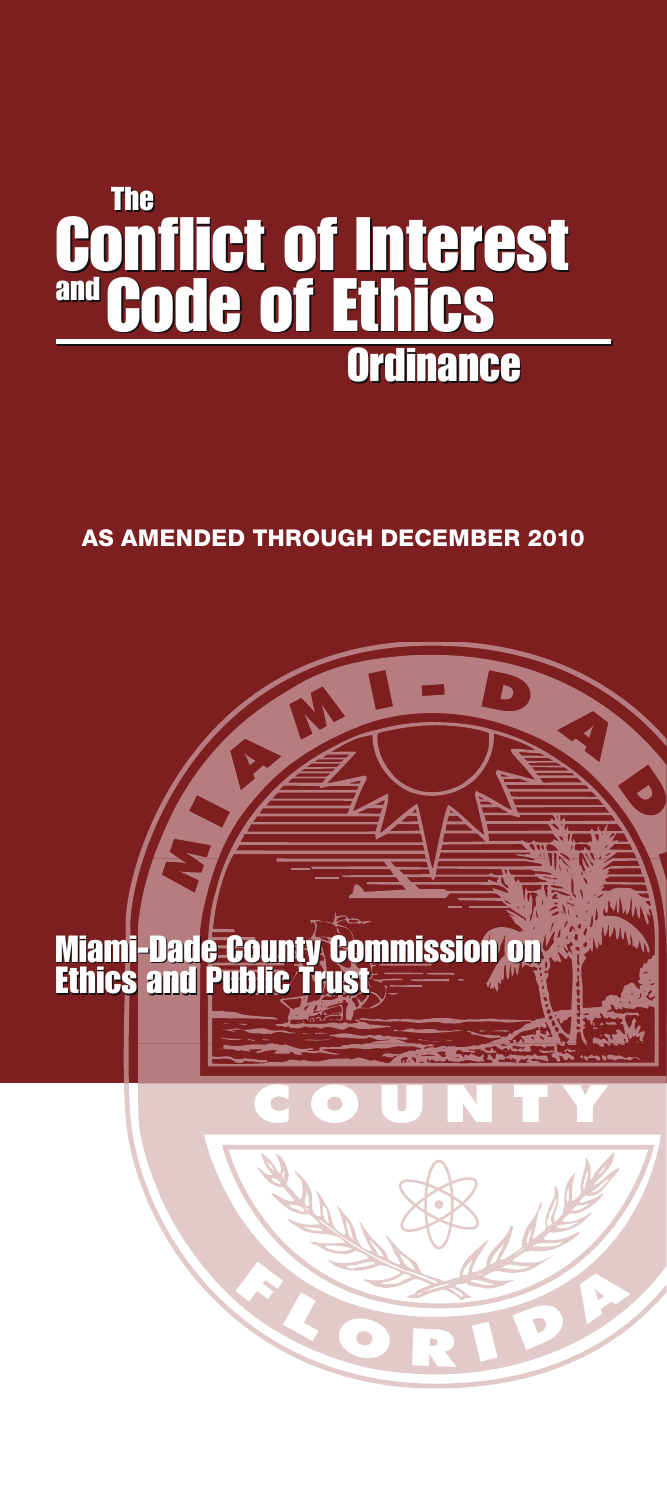# The The Conflict of Interest and Code of Ethics Ordinance Ordinance **Conflict of Interes** and Code of Ethic

# AS AMENDED THROUGH DECEMBER 2010

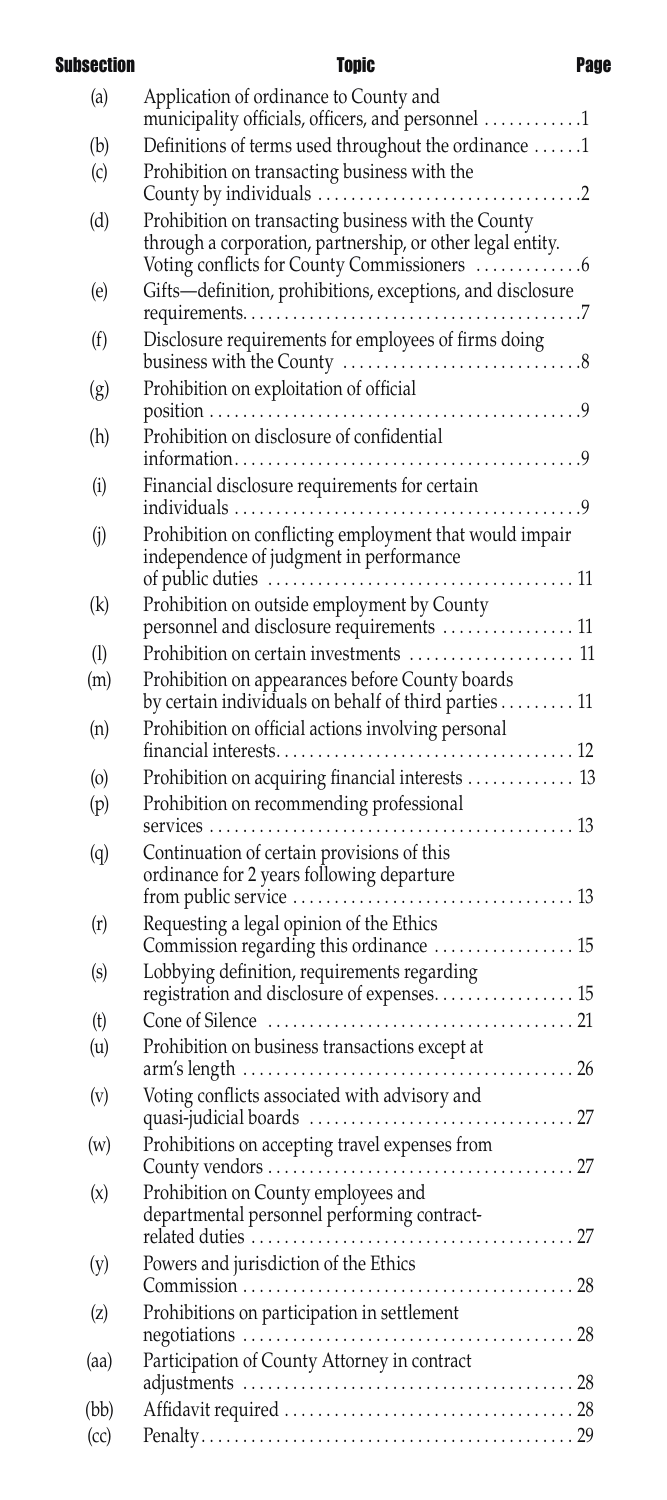Subsection **Topic Page** 

| (a)  | Application of ordinance to County and<br>municipality officials, officers, and personnel 1                       |
|------|-------------------------------------------------------------------------------------------------------------------|
| (b)  | Definitions of terms used throughout the ordinance 1                                                              |
| (c)  | Prohibition on transacting business with the                                                                      |
| (d)  | Prohibition on transacting business with the County<br>through a corporation, partnership, or other legal entity. |
| (e)  | Gifts-definition, prohibitions, exceptions, and disclosure                                                        |
| (f)  | Disclosure requirements for employees of firms doing                                                              |
| (g)  | Prohibition on exploitation of official                                                                           |
| (h)  | Prohibition on disclosure of confidential                                                                         |
| (i)  | Financial disclosure requirements for certain                                                                     |
|      |                                                                                                                   |
| (i)  | Prohibition on conflicting employment that would impair<br>independence of judgment in performance                |
|      |                                                                                                                   |
| (k)  | Prohibition on outside employment by County                                                                       |
|      | personnel and disclosure requirements  11                                                                         |
| (1)  | Prohibition on certain investments  11                                                                            |
| (m)  | Prohibition on appearances before County boards                                                                   |
|      | by certain individuals on behalf of third parties 11                                                              |
| (n)  | Prohibition on official actions involving personal                                                                |
|      |                                                                                                                   |
| (0)  | Prohibition on acquiring financial interests  13                                                                  |
| (p)  | Prohibition on recommending professional                                                                          |
| (q)  | Continuation of certain provisions of this<br>ordinance for 2 years following departure                           |
| (r)  | Requesting a legal opinion of the Ethics<br>Commission regarding this ordinance  15                               |
| (s)  | Lobbying definition, requirements regarding                                                                       |
|      | registration and disclosure of expenses 15                                                                        |
| (t)  |                                                                                                                   |
| (u)  | Prohibition on business transactions except at<br>$\ldots$ . 26                                                   |
| (v)  | Voting conflicts associated with advisory and                                                                     |
| (w)  | Prohibitions on accepting travel expenses from                                                                    |
| (x)  | Prohibition on County employees and<br>departmental personnel performing contract-                                |
| (y)  | Powers and jurisdiction of the Ethics                                                                             |
| (z)  | Prohibitions on participation in settlement                                                                       |
| (aa) | Participation of County Attorney in contract                                                                      |
| (bb) |                                                                                                                   |
| (cc) |                                                                                                                   |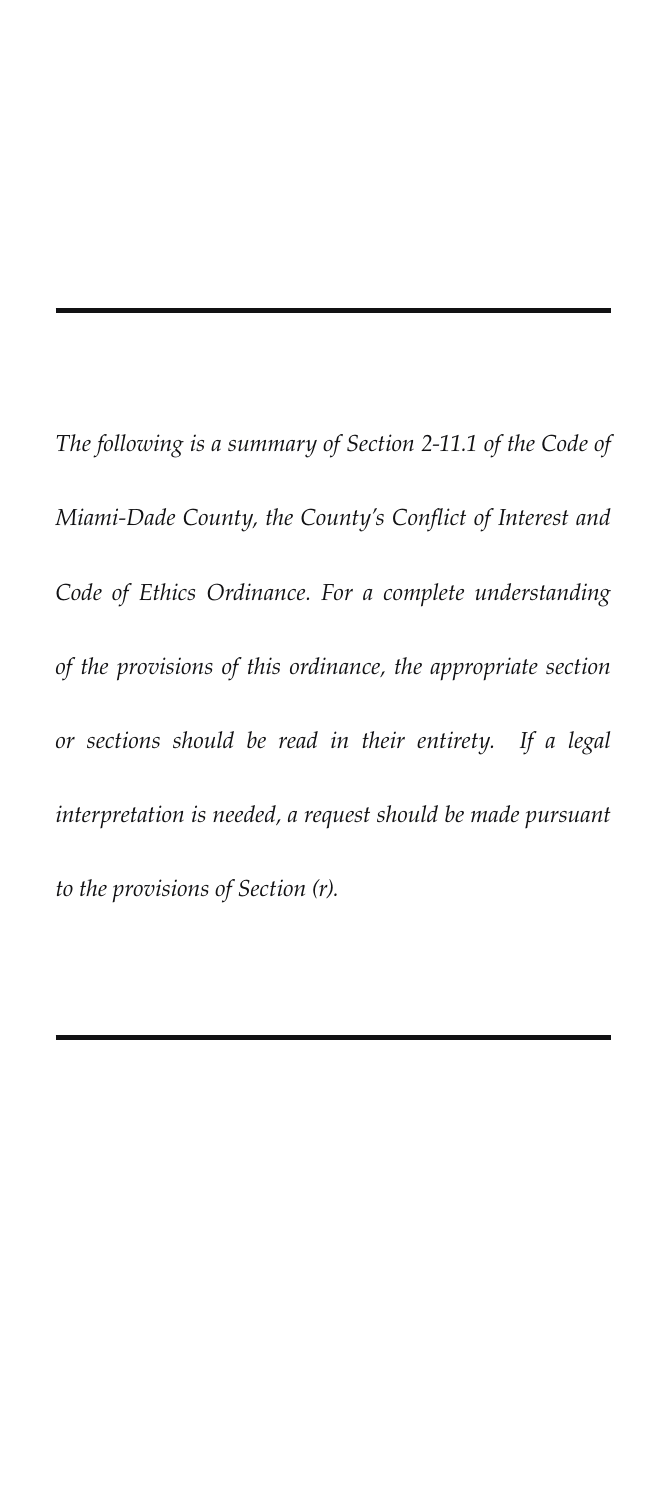*The following is a summary of Section 2-11.1 of the Code of Miami-Dade County, the County's Conflict of Interest and Code of Ethics Ordinance. For a complete understanding of the provisions of this ordinance, the appropriate section or sections should be read in their entirety. If a legal interpretation is needed, a request should be made pursuant to the provisions of Section (r).*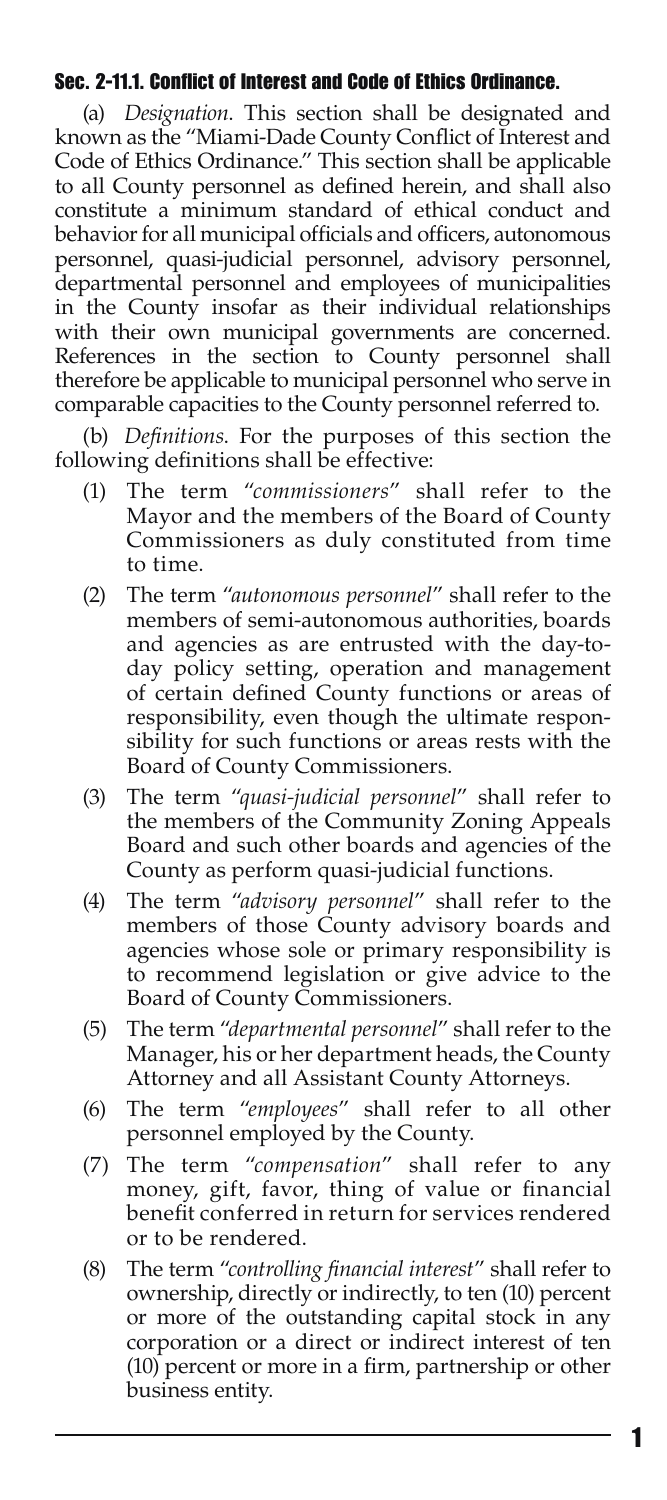#### Sec. 2-11.1. Conflict of Interest and Code of Ethics Ordinance.

(a) *Designation*. This section shall be designated and known as the "Miami-Dade County Conflict of Interest and Code of Ethics Ordinance." This section shall be applicable to all County personnel as defined herein, and shall also constitute a minimum standard of ethical conduct and behavior for all municipal officials and officers, autonomous personnel, quasi-judicial personnel, advisory personnel, departmental personnel and employees of municipalities in the County insofar as their individual relationships with their own municipal governments are concerned. References in the section to County personnel shall therefore be applicable to municipal personnel who serve in comparable capacities to the County personnel referred to.

(b) *Definitions*. For the purposes of this section the following definitions shall be effective:

- (1) The term "*commissioners*" shall refer to the Mayor and the members of the Board of County Commissioners as duly constituted from time to time.
- (2) The term "*autonomous personnel*" shall refer to the members of semi-autonomous authorities, boards and agencies as are entrusted with the day-today policy setting, operation and management of certain defined County functions or areas of responsibility, even though the ultimate responsibility for such functions or areas rests with the Board of County Commissioners.
- (3) The term "*quasi-judicial personnel*" shall refer to the members of the Community Zoning Appeals Board and such other boards and agencies of the County as perform quasi-judicial functions.
- (4) The term "*advisory personnel*" shall refer to the members of those County advisory boards and agencies whose sole or primary responsibility is to recommend legislation or give advice to the Board of County Commissioners.
- (5) The term "*departmental personnel*" shall refer to the Manager, his or her department heads, the County Attorney and all Assistant County Attorneys.
- (6) The term "*employees*" shall refer to all other personnel employed by the County.
- (7) The term "*compensation*" shall refer to any money, gift, favor, thing of value or financial benefit conferred in return for services rendered or to be rendered.
- (8) The term "*controlling financial interest*" shall refer to ownership, directly or indirectly, to ten (10) percent or more of the outstanding capital stock in any corporation or a direct or indirect interest of ten (10) percent or more in a firm, partnership or other business entity.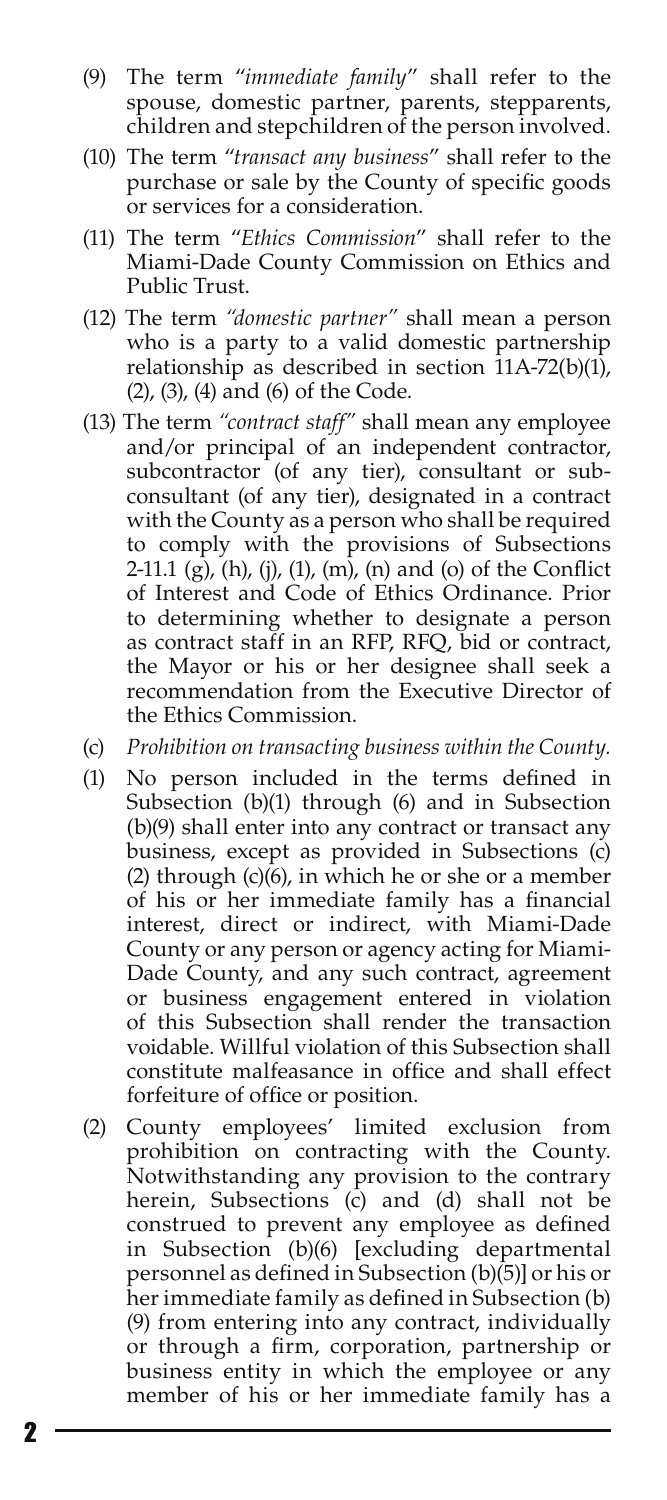- (9) The term "*immediate family*" shall refer to the spouse, domestic partner, parents, stepparents, children and stepchildren of the person involved.
- (10) The term "*transact any business*" shall refer to the purchase or sale by the County of specific goods or services for a consideration.
- (11) The term "*Ethics Commission*" shall refer to the Miami-Dade County Commission on Ethics and Public Trust.
- (12) The term *"domestic partner"* shall mean a person who is a party to a valid domestic partnership relationship as described in section  $11A-72(b)(1)$ , (2), (3), (4) and (6) of the Code.
- (13) The term *"contract staff"* shall mean any employee and/or principal of an independent contractor, subcontractor (of any tier), consultant or subconsultant (of any tier), designated in a contract with the County as a person who shall be required to comply with the provisions of Subsections 2-11.1  $(g)$ ,  $(h)$ ,  $(j)$ ,  $(1)$ ,  $(m)$ ,  $(n)$  and  $(o)$  of the Conflict of Interest and Code of Ethics Ordinance. Prior to determining whether to designate a person as contract staff in an RFP, RFQ, bid or contract, the Mayor or his or her designee shall seek a recommendation from the Executive Director of the Ethics Commission.
- (c) *Prohibition on transacting business within the County.*
- (1) No person included in the terms defined in Subsection (b)(1) through (6) and in Subsection (b)(9) shall enter into any contract or transact any business, except as provided in Subsections (c) (2) through (c)(6), in which he or she or a member of his or her immediate family has a financial interest, direct or indirect, with Miami-Dade County or any person or agency acting for Miami-Dade County, and any such contract, agreement or business engagement entered in violation of this Subsection shall render the transaction voidable. Willful violation of this Subsection shall constitute malfeasance in office and shall effect forfeiture of office or position.
- (2) County employees' limited exclusion from prohibition on contracting with the County. Notwithstanding any provision to the contrary herein, Subsections (c) and (d) shall not be construed to prevent any employee as defined in Subsection (b)(6) [excluding departmental personnel as defined in Subsection (b)(5)] or his or her immediate family as defined in Subsection (b) (9) from entering into any contract, individually or through a firm, corporation, partnership or business entity in which the employee or any member of his or her immediate family has a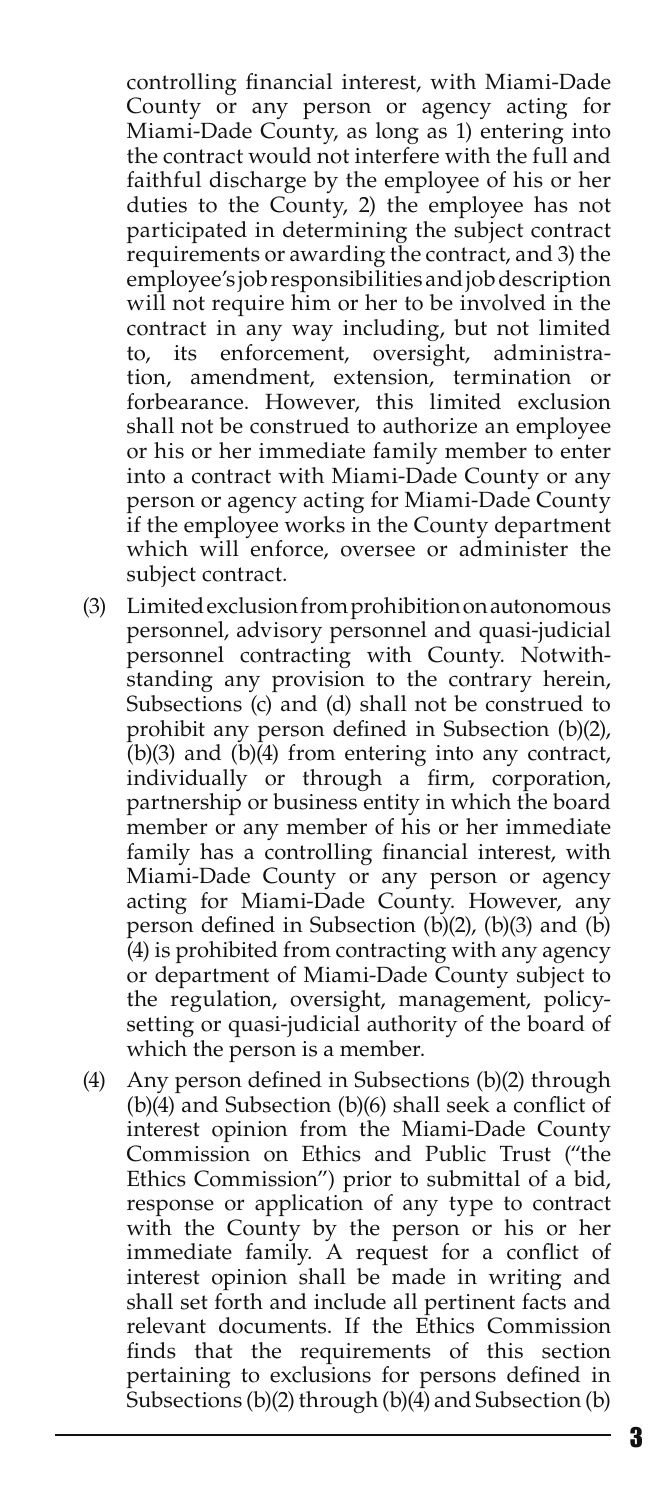controlling financial interest, with Miami-Dade County or any person or agency acting for Miami-Dade County, as long as 1) entering into the contract would not interfere with the full and faithful discharge by the employee of his or her duties to the County, 2) the employee has not participated in determining the subject contract requirements or awarding the contract, and 3) the employee's job responsibilities and job description will not require him or her to be involved in the contract in any way including, but not limited to, its enforcement, oversight, administration, amendment, extension, termination or forbearance. However, this limited exclusion shall not be construed to authorize an employee or his or her immediate family member to enter into a contract with Miami-Dade County or any person or agency acting for Miami-Dade County if the employee works in the County department which will enforce, oversee or administer the subject contract.

- (3) Limited exclusion from prohibition on autonomous personnel, advisory personnel and quasi-judicial personnel contracting with County. Notwithstanding any provision to the contrary herein, Subsections (c) and (d) shall not be construed to prohibit any person defined in Subsection (b)(2),  $(b)(3)$  and  $(b)(4)$  from entering into any contract, individually or through a firm, corporation, partnership or business entity in which the board member or any member of his or her immediate family has a controlling financial interest, with Miami-Dade County or any person or agency acting for Miami-Dade County. However, any person defined in Subsection (b)(2), (b)(3) and (b) (4) is prohibited from contracting with any agency or department of Miami-Dade County subject to the regulation, oversight, management, policysetting or quasi-judicial authority of the board of which the person is a member.
- (4) Any person defined in Subsections (b)(2) through (b)(4) and Subsection (b)(6) shall seek a conflict of interest opinion from the Miami-Dade County Commission on Ethics and Public Trust ("the Ethics Commission") prior to submittal of a bid, response or application of any type to contract with the County by the person or his or her immediate family. A request for a conflict of interest opinion shall be made in writing and shall set forth and include all pertinent facts and relevant documents. If the Ethics Commission finds that the requirements of this section pertaining to exclusions for persons defined in Subsections (b)(2) through (b)(4) and Subsection (b)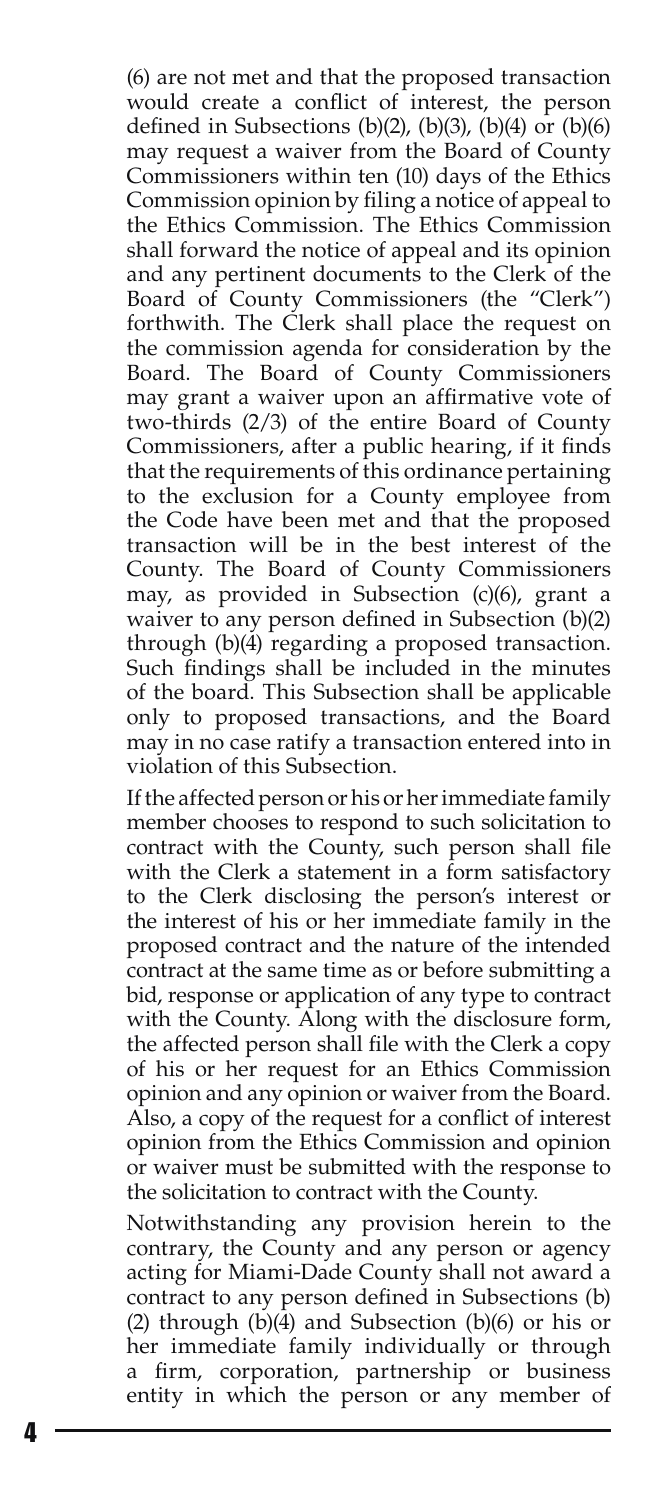(6) are not met and that the proposed transaction would create a conflict of interest, the person defined in Subsections (b)(2), (b)(3), (b)(4) or (b)(6) may request a waiver from the Board of County Commissioners within ten (10) days of the Ethics Commission opinion by filing a notice of appeal to the Ethics Commission. The Ethics Commission shall forward the notice of appeal and its opinion and any pertinent documents to the Clerk of the Board of County Commissioners (the "Clerk") forthwith. The Clerk shall place the request on the commission agenda for consideration by the Board. The Board of County Commissioners may grant a waiver upon an affirmative vote of two-thirds (2/3) of the entire Board of County Commissioners, after a public hearing, if it finds that the requirements of this ordinance pertaining to the exclusion for a County employee from the Code have been met and that the proposed transaction will be in the best interest of the County. The Board of County Commissioners may, as provided in Subsection (c)(6), grant a waiver to any person defined in Subsection (b)(2) through (b)(4) regarding a proposed transaction. Such findings shall be included in the minutes of the board. This Subsection shall be applicable only to proposed transactions, and the Board may in no case ratify a transaction entered into in violation of this Subsection.

If the affected person or his or her immediate family member chooses to respond to such solicitation to contract with the County, such person shall file with the Clerk a statement in a form satisfactory to the Clerk disclosing the person's interest or the interest of his or her immediate family in the proposed contract and the nature of the intended contract at the same time as or before submitting a bid, response or application of any type to contract with the County. Along with the disclosure form, the affected person shall file with the Clerk a copy of his or her request for an Ethics Commission opinion and any opinion or waiver from the Board. Also, a copy of the request for a conflict of interest opinion from the Ethics Commission and opinion or waiver must be submitted with the response to the solicitation to contract with the County.

Notwithstanding any provision herein to the contrary, the County and any person or agency acting for Miami-Dade County shall not award a contract to any person defined in Subsections (b) (2) through (b)(4) and Subsection (b)(6) or his or her immediate family individually or through firm, corporation, partnership or business entity in which the person or any member of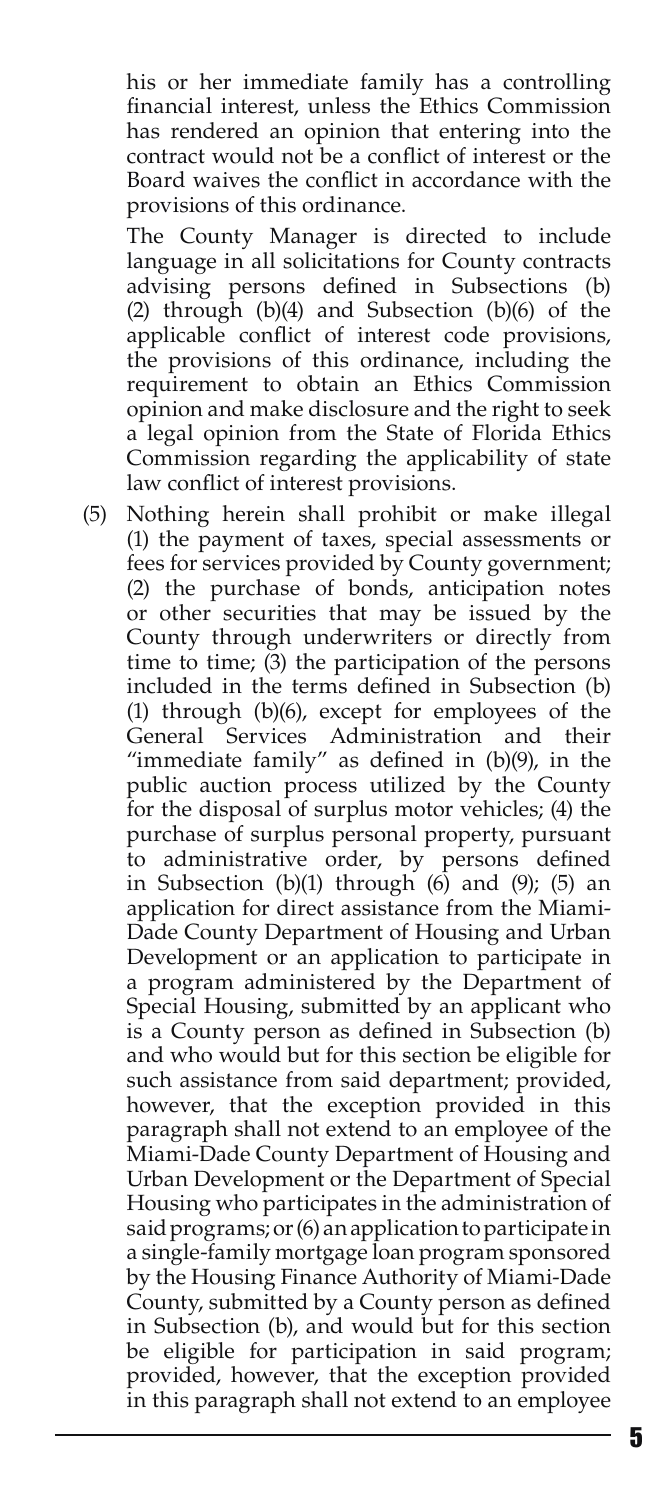his or her immediate family has a controlling financial interest, unless the Ethics Commission has rendered an opinion that entering into the contract would not be a conflict of interest or the Board waives the conflict in accordance with the provisions of this ordinance.

The County Manager is directed to include language in all solicitations for County contracts advising persons defined in Subsections (b) (2) through (b)(4) and Subsection (b)(6) of the applicable conflict of interest code provisions, the provisions of this ordinance, including the requirement to obtain an Ethics Commission opinion and make disclosure and the right to seek a legal opinion from the State of Florida Ethics Commission regarding the applicability of state law conflict of interest provisions.

(5) Nothing herein shall prohibit or make illegal (1) the payment of taxes, special assessments or fees for services provided by County government; (2) the purchase of bonds, anticipation notes or other securities that may be issued by the County through underwriters or directly from time to time;  $(3)$  the participation of the persons included in the terms defined in Subsection (b) (1) through (b)(6), except for employees of the General Services Administration and their "immediate family" as defined in (b)(9), in the public auction process utilized by the County for the disposal of surplus motor vehicles; (4) the purchase of surplus personal property, pursuant to administrative order, by persons defined in Subsection  $(b)(1)$  through  $(6)$  and  $(9)$ ;  $(5)$  an application for direct assistance from the Miami-Dade County Department of Housing and Urban Development or an application to participate in a program administered by the Department of Special Housing, submitted by an applicant who is a County person as defined in Subsection (b) and who would but for this section be eligible for such assistance from said department; provided, however, that the exception provided in this paragraph shall not extend to an employee of the Miami-Dade County Department of Housing and Urban Development or the Department of Special Housing who participates in the administration of said programs; or (6) an application to participate in a single-family mortgage loan program sponsored by the Housing Finance Authority of Miami-Dade County, submitted by a County person as defined in Subsection (b), and would but for this section be eligible for participation in said program; provided, however, that the exception provided in this paragraph shall not extend to an employee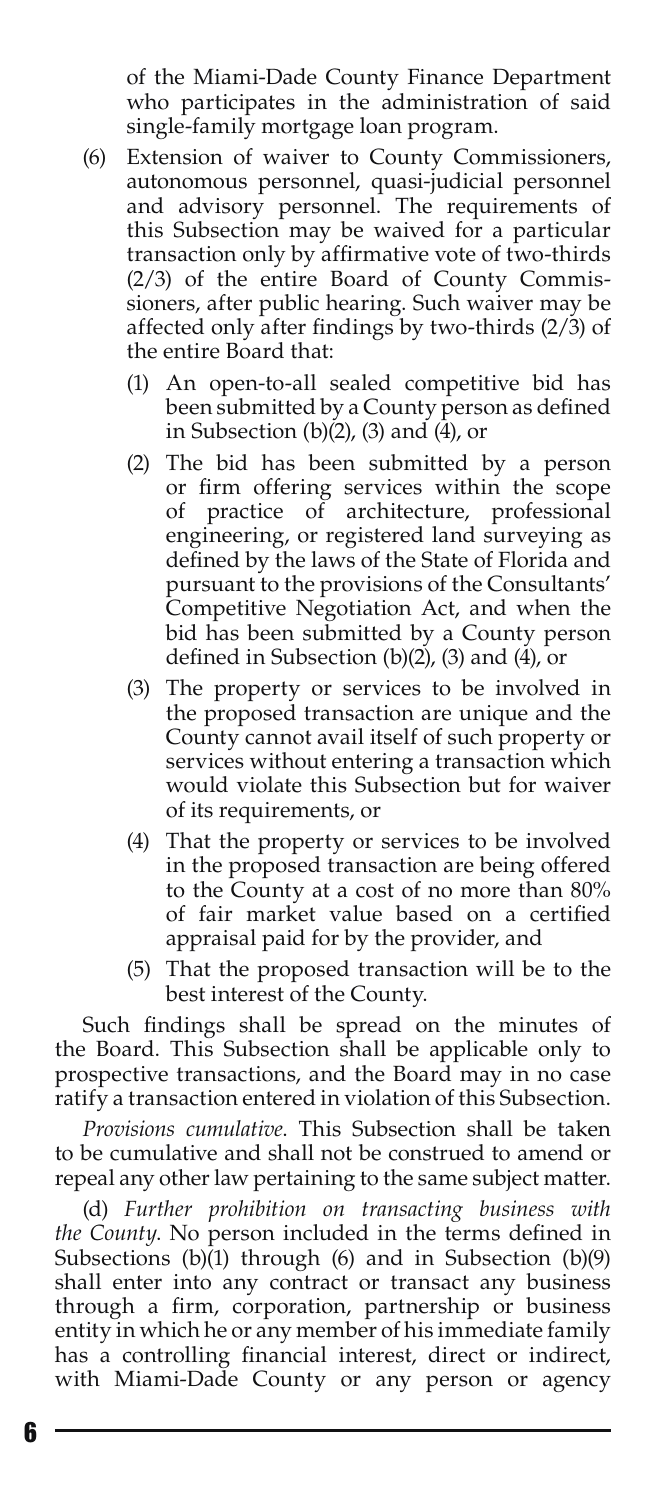of the Miami-Dade County Finance Department who participates in the administration of said single-family mortgage loan program.

- (6) Extension of waiver to County Commissioners, autonomous personnel, quasi-judicial personnel and advisory personnel. The requirements of this Subsection may be waived for a particular transaction only by affirmative vote of two-thirds (2/3) of the entire Board of County Commissioners, after public hearing. Such waiver may be affected only after findings by two-thirds (2/3) of the entire Board that:
	- (1) An open-to-all sealed competitive bid has been submitted by a County person as defined in Subsection  $(b)(2)$ ,  $(3)$  and  $(4)$ , or
	- (2) The bid has been submitted by a person or firm offering services within the scope of practice of architecture, professional engineering, or registered land surveying as defined by the laws of the State of Florida and pursuant to the provisions of the Consultants' Competitive Negotiation Act, and when the bid has been submitted by a County person defined in Subsection (b)(2), (3) and (4), or
	- (3) The property or services to be involved in the proposed transaction are unique and the County cannot avail itself of such property or services without entering a transaction which would violate this Subsection but for waiver of its requirements, or
	- (4) That the property or services to be involved in the proposed transaction are being offered to the County at a cost of no more than 80% of fair market value based on a certified appraisal paid for by the provider, and
	- (5) That the proposed transaction will be to the best interest of the County.

Such findings shall be spread on the minutes of the Board. This Subsection shall be applicable only to prospective transactions, and the Board may in no case ratify a transaction entered in violation of this Subsection.

*Provisions cumulative*. This Subsection shall be taken to be cumulative and shall not be construed to amend or repeal any other law pertaining to the same subject matter.

(d) *Further prohibition on transacting business with the County*. No person included in the terms defined in Subsections (b)(1) through (6) and in Subsection (b)(9) shall enter into any contract or transact any business through a firm, corporation, partnership or business entity in which he or any member of his immediate family has a controlling financial interest, direct or indirect, with Miami-Dade County or any person or agency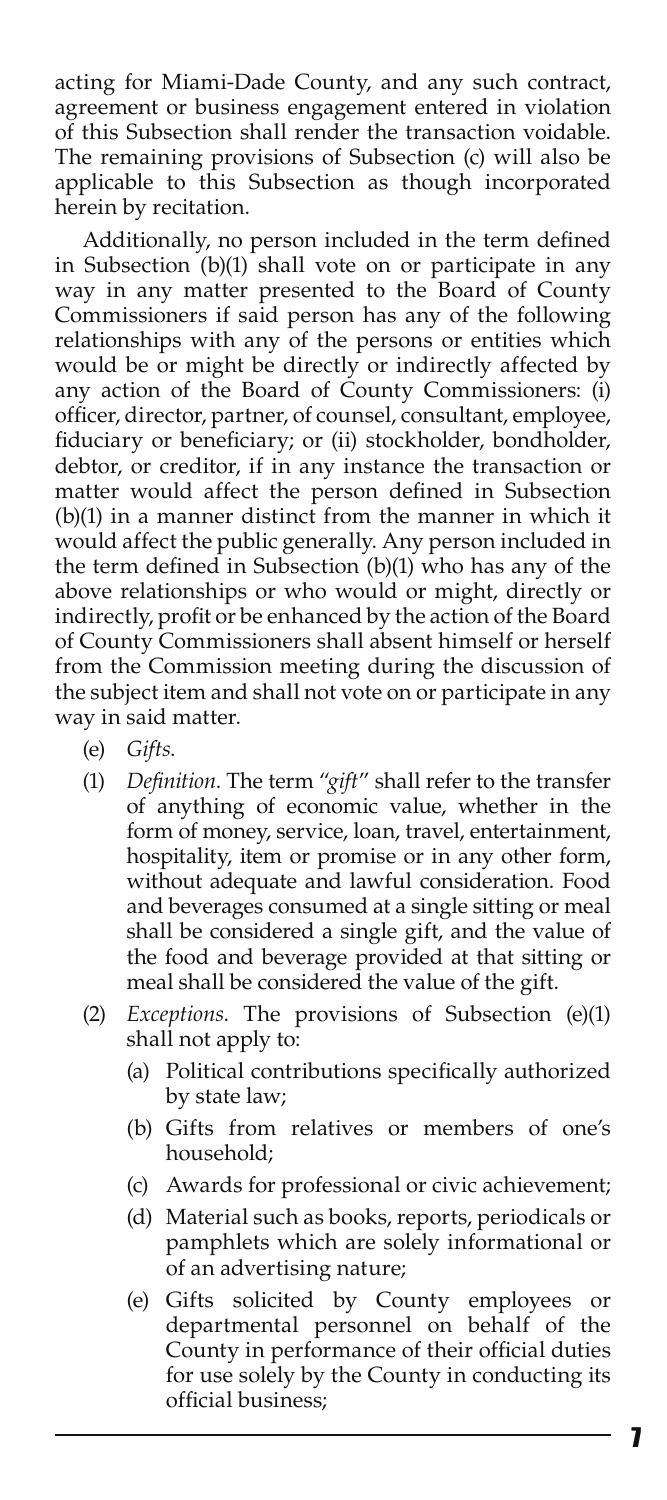acting for Miami-Dade County, and any such contract, agreement or business engagement entered in violation of this Subsection shall render the transaction voidable. The remaining provisions of Subsection (c) will also be applicable to this Subsection as though incorporated herein by recitation.

Additionally, no person included in the term defined in Subsection (b)(1) shall vote on or participate in any way in any matter presented to the Board of County Commissioners if said person has any of the following relationships with any of the persons or entities which would be or might be directly or indirectly affected by any action of the Board of County Commissioners: (i) officer, director, partner, of counsel, consultant, employee, fiduciary or beneficiary; or (ii) stockholder, bondholder, debtor, or creditor, if in any instance the transaction or matter would affect the person defined in Subsection (b)(1) in a manner distinct from the manner in which it would affect the public generally. Any person included in the term defined in Subsection (b)(1) who has any of the above relationships or who would or might, directly or indirectly, profit or be enhanced by the action of the Board of County Commissioners shall absent himself or herself from the Commission meeting during the discussion of the subject item and shall not vote on or participate in any way in said matter.

- (e) *Gifts*.
- (1) *Definition*. The term "*gift*" shall refer to the transfer of anything of economic value, whether in the form of money, service, loan, travel, entertainment, hospitality, item or promise or in any other form, without adequate and lawful consideration. Food and beverages consumed at a single sitting or meal shall be considered a single gift, and the value of the food and beverage provided at that sitting or meal shall be considered the value of the gift.
- (2) *Exceptions*. The provisions of Subsection (e)(1) shall not apply to:
	- (a) Political contributions specifically authorized by state law;
	- (b) Gifts from relatives or members of one's household;
	- (c) Awards for professional or civic achievement;
	- (d) Material such as books, reports, periodicals or pamphlets which are solely informational or of an advertising nature;
	- (e) Gifts solicited by County employees or departmental personnel on behalf of the County in performance of their official duties for use solely by the County in conducting its official business;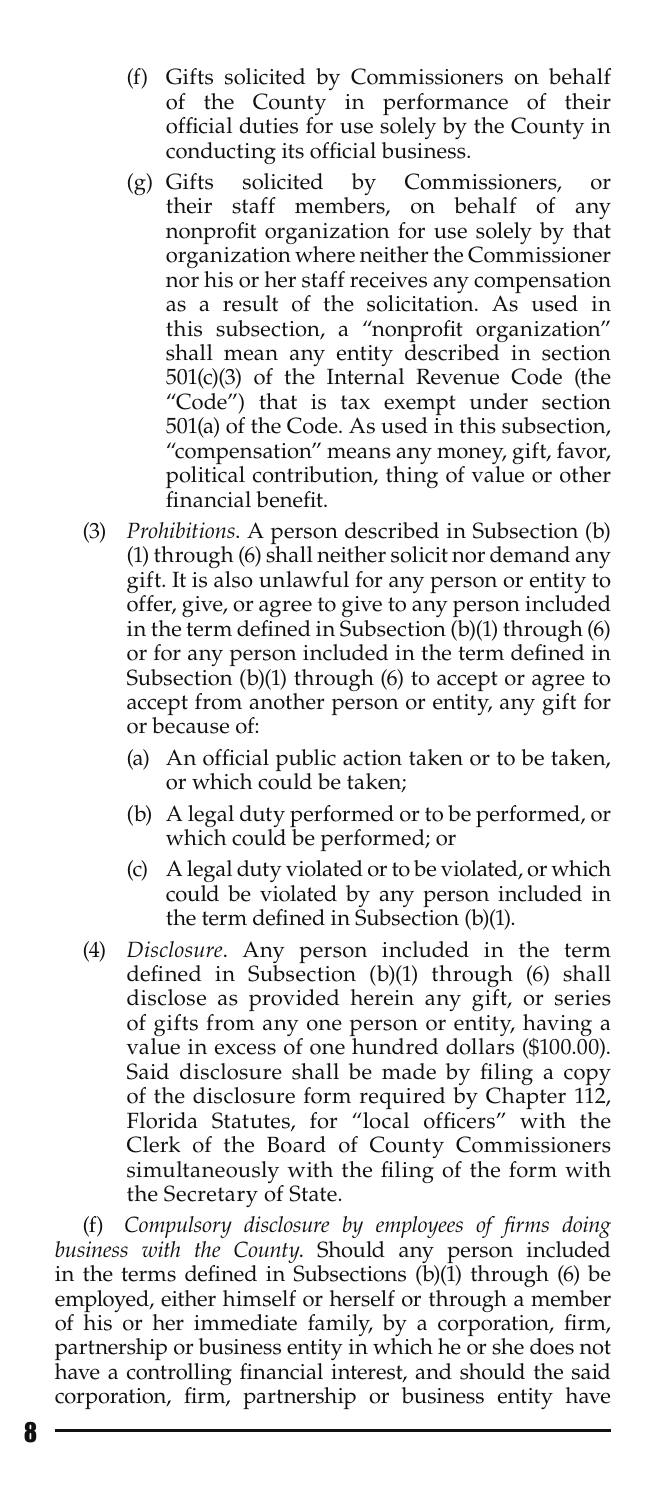- (f) Gifts solicited by Commissioners on behalf of the County in performance of their official duties for use solely by the County in conducting its official business.
- (g) Gifts solicited by Commissioners, or their staff members, on behalf of any nonprofit organization for use solely by that organization where neither the Commissioner nor his or her staff receives any compensation as a result of the solicitation. As used in this subsection, a "nonprofit organization" shall mean any entity described in section 501(c)(3) of the Internal Revenue Code (the "Code") that is tax exempt under section 501(a) of the Code. As used in this subsection, "compensation" means any money, gift, favor, political contribution, thing of value or other financial benefit.
- (3) *Prohibitions*. A person described in Subsection (b) (1) through (6) shall neither solicit nor demand any gift. It is also unlawful for any person or entity to offer, give, or agree to give to any person included in the term defined in Subsection  $(b)(1)$  through  $(b)$ or for any person included in the term defined in Subsection (b)(1) through (6) to accept or agree to accept from another person or entity, any gift for or because of:
	- (a) An official public action taken or to be taken, or which could be taken;
	- (b) A legal duty performed or to be performed, or which could be performed; or
	- (c) A legal duty violated or to be violated, or which could be violated by any person included in the term defined in Subsection (b)(1).
- (4) *Disclosure*. Any person included in the term defined in Subsection (b)(1) through (6) shall disclose as provided herein any gift, or series of gifts from any one person or entity, having a value in excess of one hundred dollars (\$100.00). Said disclosure shall be made by filing a copy of the disclosure form required by Chapter 112, Florida Statutes, for "local officers" with the Clerk of the Board of County Commissioners simultaneously with the filing of the form with the Secretary of State.

(f) *Compulsory disclosure by employees of firms doing business with the County*. Should any person included in the terms defined in Subsections  $(b)(1)$  through  $(6)$  be employed, either himself or herself or through a member of his or her immediate family, by a corporation, firm, partnership or business entity in which he or she does not have a controlling financial interest, and should the said corporation, firm, partnership or business entity have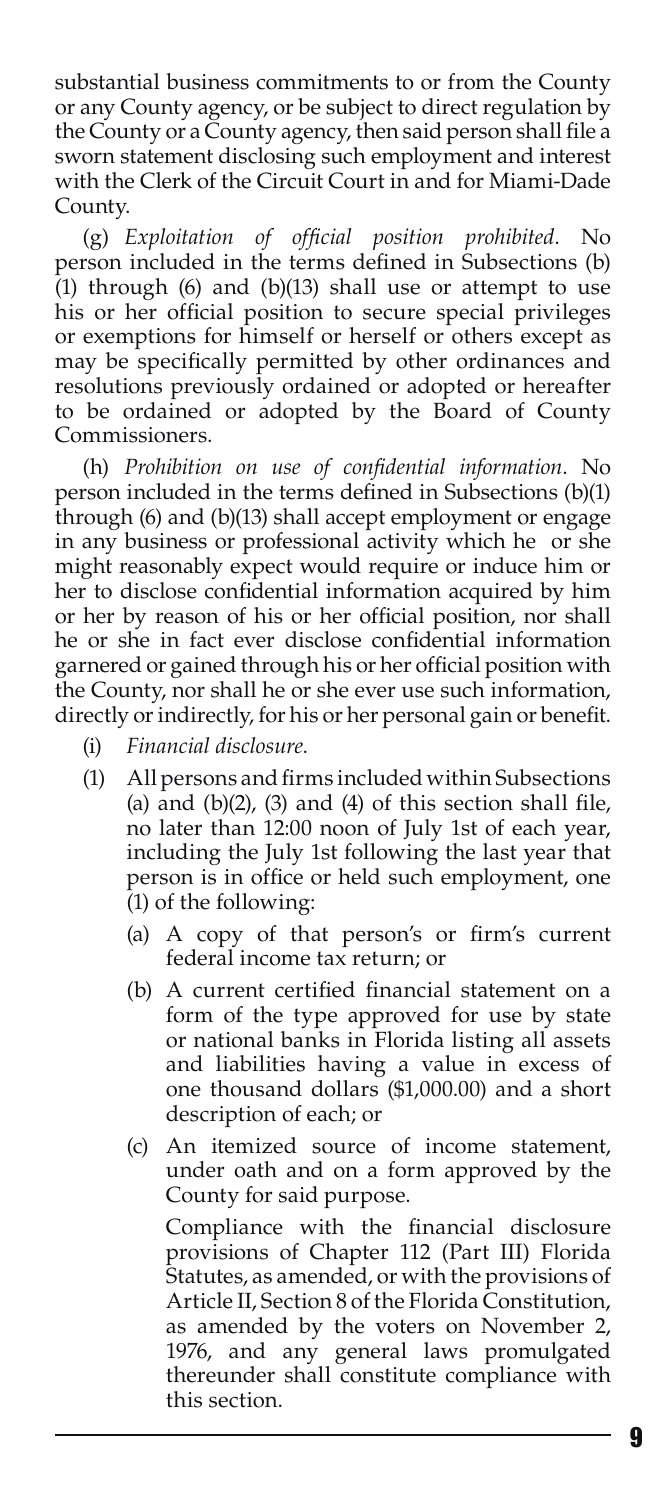substantial business commitments to or from the County or any County agency, or be subject to direct regulation by the County or a County agency, then said person shall file a sworn statement disclosing such employment and interest with the Clerk of the Circuit Court in and for Miami-Dade County.

(g) *Exploitation of official position prohibited*. No person included in the terms defined in Subsections (b) (1) through (6) and (b)(13) shall use or attempt to use his or her official position to secure special privileges or exemptions for himself or herself or others except as may be specifically permitted by other ordinances and resolutions previously ordained or adopted or hereafter to be ordained or adopted by the Board of County Commissioners.

(h) *Prohibition on use of confidential information*. No person included in the terms defined in Subsections (b)(1) through (6) and (b)(13) shall accept employment or engage in any business or professional activity which he or she might reasonably expect would require or induce him or her to disclose confidential information acquired by him or her by reason of his or her official position, nor shall he or she in fact ever disclose confidential information garnered or gained through his or her official position with the County, nor shall he or she ever use such information, directly or indirectly, for his or her personal gain or benefit.

- (i) *Financial disclosure*.
- (1) All persons and firms included within Subsections (a) and  $(b)(2)$ ,  $(3)$  and  $(4)$  of this section shall file, no later than 12:00 noon of July 1st of each year, including the July 1st following the last year that person is in office or held such employment, one (1) of the following:
	- (a) A copy of that person's or firm's current federal income tax return; or
	- (b) A current certified financial statement on a form of the type approved for use by state or national banks in Florida listing all assets and liabilities having a value in excess of one thousand dollars (\$1,000.00) and a short description of each; or
	- (c) An itemized source of income statement, under oath and on a form approved by the County for said purpose.

Compliance with the financial disclosure provisions of Chapter 112 (Part III) Florida Statutes, as amended, or with the provisions of Article II, Section 8 of the Florida Constitution, as amended by the voters on November 2, 1976, and any general laws promulgated thereunder shall constitute compliance with this section.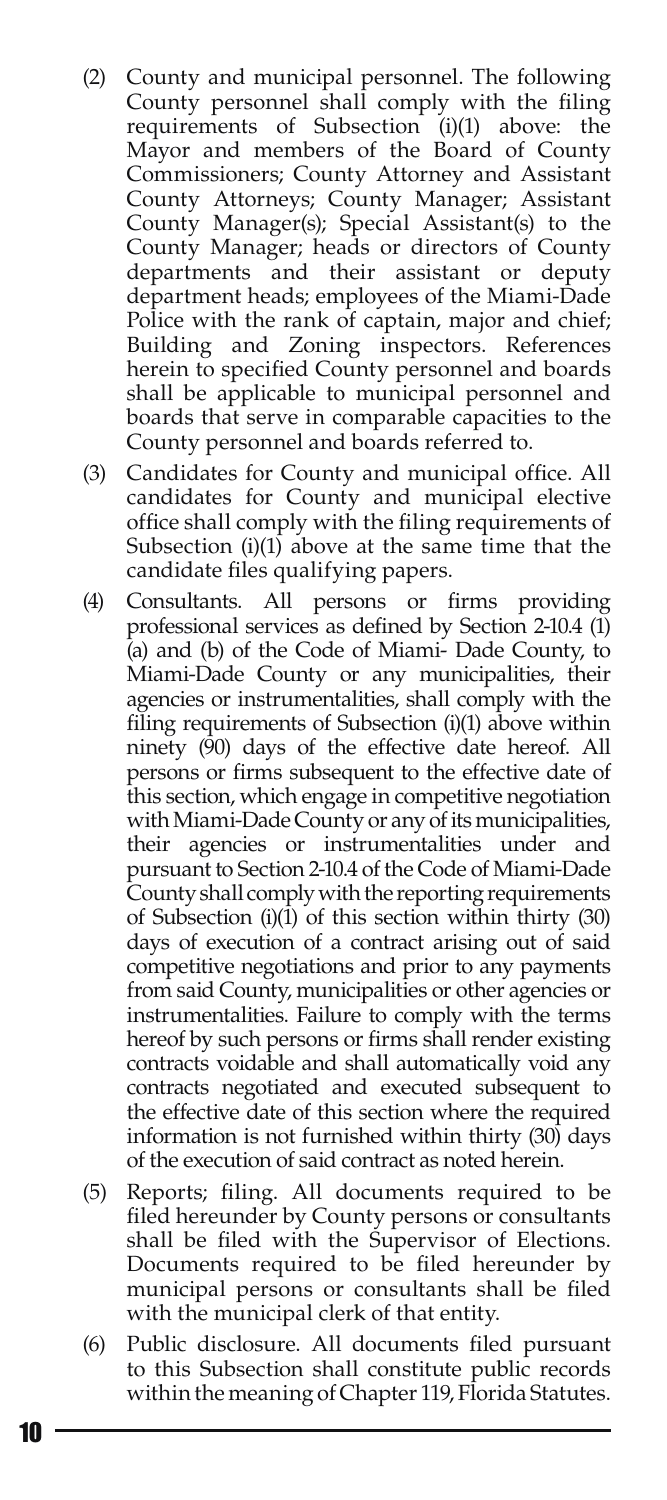- (2) County and municipal personnel. The following County personnel shall comply with the filing requirements of Subsection (i)(1) above: the Mayor and members of the Board of County Commissioners; County Attorney and Assistant County Attorneys; County Manager; Assistant County Manager(s); Special Assistant(s) to the County Manager; heads or directors of County departments and their assistant or deputy department heads; employees of the Miami-Dade Police with the rank of captain, major and chief; Building and Zoning inspectors. References herein to specified County personnel and boards shall be applicable to municipal personnel and boards that serve in comparable capacities to the County personnel and boards referred to.
- (3) Candidates for County and municipal office. All candidates for County and municipal elective office shall comply with the filing requirements of Subsection (i)(1) above at the same time that the candidate files qualifying papers.
- (4) Consultants. All persons or firms providing professional services as defined by Section 2-10.4 (1) (a) and (b) of the Code of Miami- Dade County, to Miami-Dade County or any municipalities, their agencies or instrumentalities, shall comply with the filing requirements of Subsection (i)(1) above within ninety (90) days of the effective date hereof. All persons or firms subsequent to the effective date of this section, which engage in competitive negotiation with Miami-Dade County or any of its municipalities, their agencies or instrumentalities under and pursuant to Section 2-10.4 of the Code of Miami-Dade County shall comply with the reporting requirements of Subsection (i)(1) of this section within thirty (30) days of execution of a contract arising out of said competitive negotiations and prior to any payments from said County, municipalities or other agencies or instrumentalities. Failure to comply with the terms hereof by such persons or firms shall render existing contracts voidable and shall automatically void any contracts negotiated and executed subsequent to the effective date of this section where the required information is not furnished within thirty (30) days of the execution of said contract as noted herein.
- (5) Reports; filing. All documents required to be filed hereunder by County persons or consultants shall be filed with the Supervisor of Elections. Documents required to be filed hereunder by municipal persons or consultants shall be filed with the municipal clerk of that entity.
- (6) Public disclosure. All documents filed pursuant to this Subsection shall constitute public records within the meaning of Chapter 119, Florida Statutes.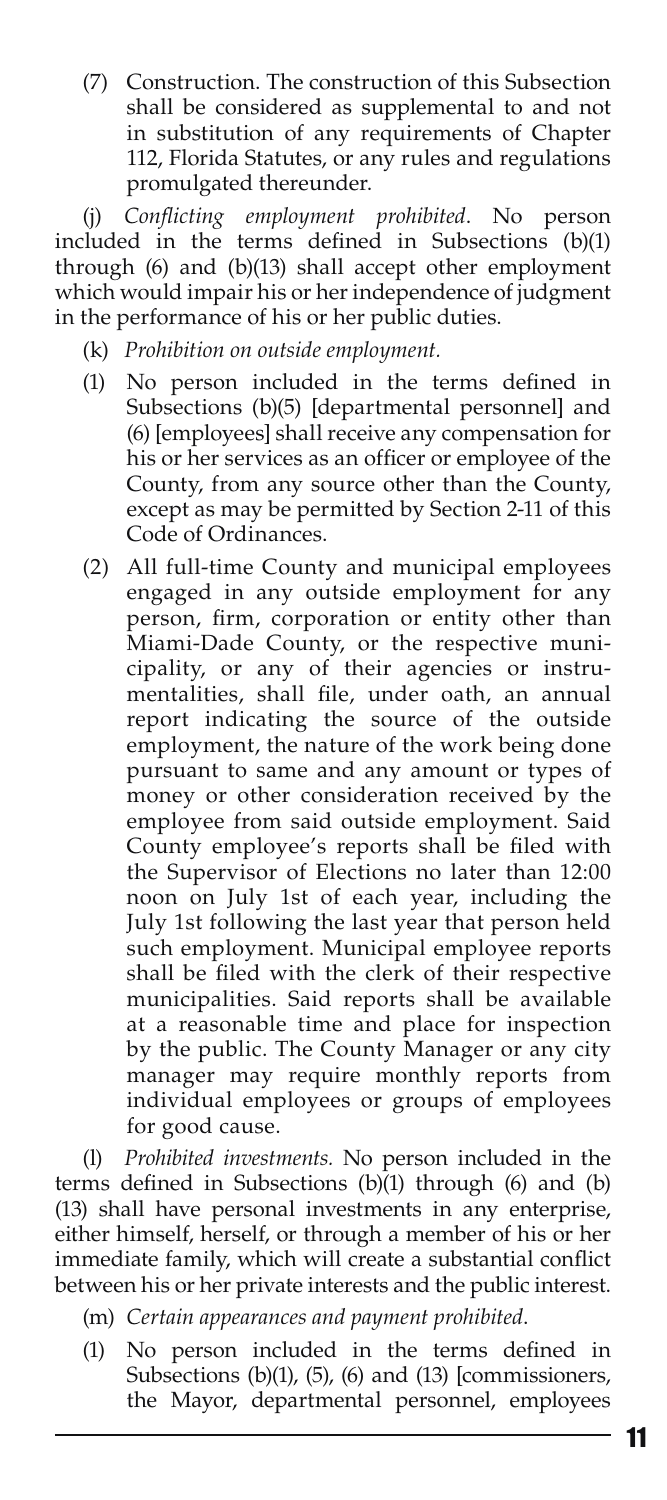(7) Construction. The construction of this Subsection shall be considered as supplemental to and not in substitution of any requirements of Chapter 112, Florida Statutes, or any rules and regulations promulgated thereunder.

(j) *Conflicting employment prohibited*. No person included in the terms defined in Subsections (b)(1) through (6) and (b)(13) shall accept other employment which would impair his or her independence of judgment in the performance of his or her public duties.

- (k) *Prohibition on outside employment.*
- (1) No person included in the terms defined in Subsections (b)(5) [departmental personnel] and (6) [employees] shall receive any compensation for his or her services as an officer or employee of the County, from any source other than the County, except as may be permitted by Section 2-11 of this Code of Ordinances.
- (2) All full-time County and municipal employees engaged in any outside employment for any person, firm, corporation or entity other than Miami-Dade County, or the respective municipality, or any of their agencies or instrumentalities, shall file, under oath, an annual report indicating the source of the outside employment, the nature of the work being done pursuant to same and any amount or types of money or other consideration received by the employee from said outside employment. Said County employee's reports shall be filed with the Supervisor of Elections no later than 12:00 noon on July 1st of each year, including the July 1st following the last year that person held such employment. Municipal employee reports shall be filed with the clerk of their respective municipalities. Said reports shall be available at a reasonable time and place for inspection by the public. The County Manager or any city manager may require monthly reports from individual employees or groups of employees for good cause.

(l) *Prohibited investments.* No person included in the terms defined in Subsections (b)(1) through (6) and (b) (13) shall have personal investments in any enterprise, either himself, herself, or through a member of his or her immediate family, which will create a substantial conflict between his or her private interests and the public interest.

(m) *Certain appearances and payment prohibited*.

(1) No person included in the terms defined in Subsections (b)(1), (5), (6) and (13) [commissioners, the Mayor, departmental personnel, employees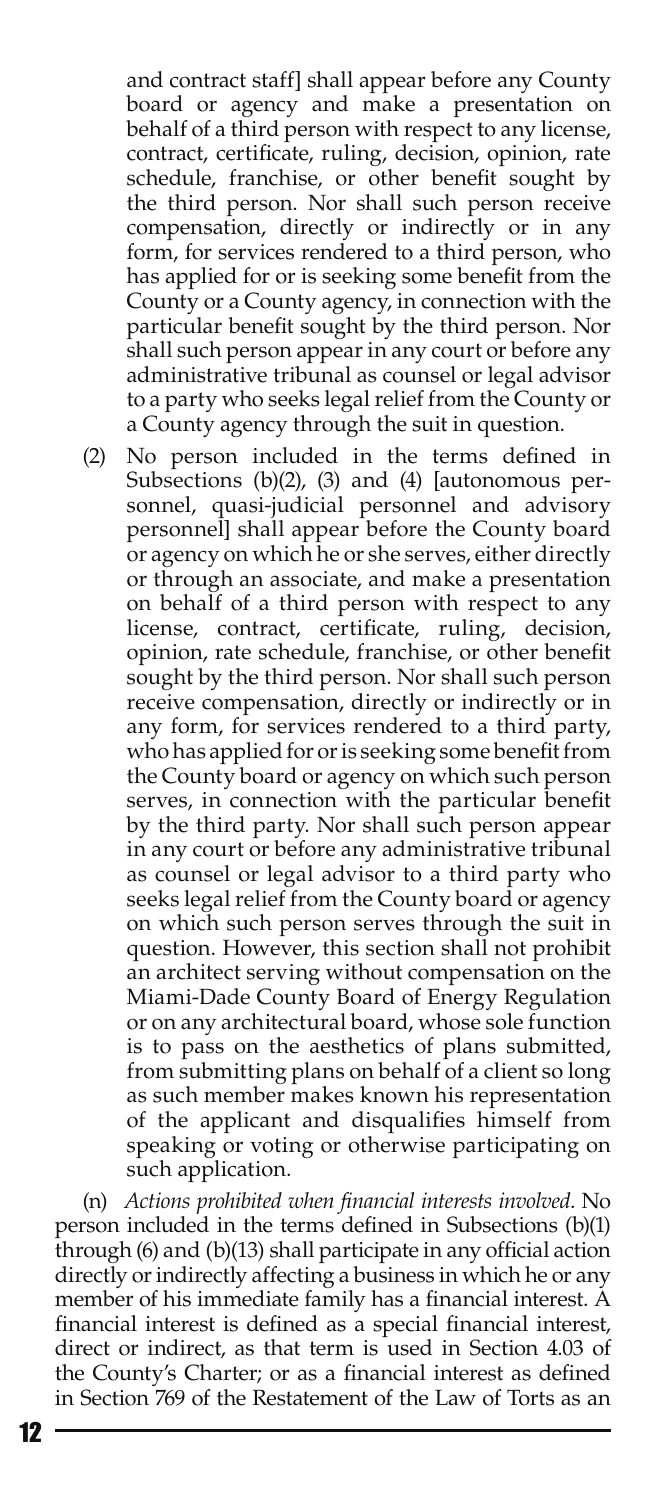and contract staff] shall appear before any County board or agency and make a presentation on behalf of a third person with respect to any license, contract, certificate, ruling, decision, opinion, rate schedule, franchise, or other benefit sought by the third person. Nor shall such person receive compensation, directly or indirectly or in any form, for services rendered to a third person, who has applied for or is seeking some benefit from the County or a County agency, in connection with the particular benefit sought by the third person. Nor shall such person appear in any court or before any administrative tribunal as counsel or legal advisor to a party who seeks legal relief from the County or a County agency through the suit in question.

(2) No person included in the terms defined in Subsections (b)(2), (3) and (4) [autonomous personnel, quasi-judicial personnel and advisory personnel] shall appear before the County board or agency on which he or she serves, either directly or through an associate, and make a presentation on behalf of a third person with respect to any license, contract, certificate, ruling, decision, opinion, rate schedule, franchise, or other benefit sought by the third person. Nor shall such person receive compensation, directly or indirectly or in any form, for services rendered to a third party, who has applied for or is seeking some benefit from the County board or agency on which such person serves, in connection with the particular benefit by the third party. Nor shall such person appear in any court or before any administrative tribunal as counsel or legal advisor to a third party who seeks legal relief from the County board or agency on which such person serves through the suit in question. However, this section shall not prohibit an architect serving without compensation on the Miami-Dade County Board of Energy Regulation or on any architectural board, whose sole function is to pass on the aesthetics of plans submitted, from submitting plans on behalf of a client so long as such member makes known his representation of the applicant and disqualifies himself from speaking or voting or otherwise participating on such application.

(n) *Actions prohibited when financial interests involved*. No person included in the terms defined in Subsections (b)(1) through (6) and (b)(13) shall participate in any official action directly or indirectly affecting a business in which he or any member of his immediate family has a financial interest. A financial interest is defined as a special financial interest, direct or indirect, as that term is used in Section 4.03 of the County's Charter; or as a financial interest as defined in Section 769 of the Restatement of the Law of Torts as an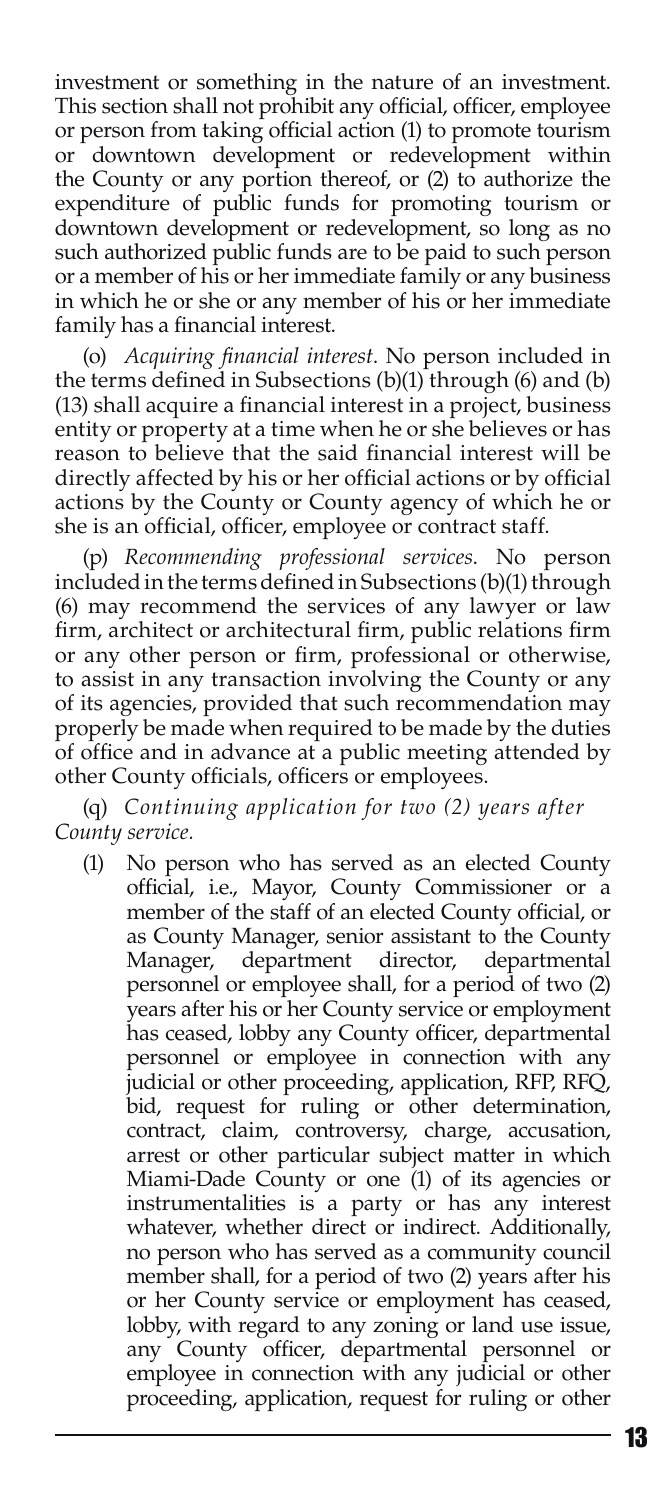investment or something in the nature of an investment. This section shall not prohibit any official, officer, employee or person from taking official action (1) to promote tourism or downtown development or redevelopment within the County or any portion thereof, or (2) to authorize the expenditure of public funds for promoting tourism or downtown development or redevelopment, so long as no such authorized public funds are to be paid to such person or a member of his or her immediate family or any business in which he or she or any member of his or her immediate family has a financial interest.

(o) *Acquiring financial interest*. No person included in the terms defined in Subsections (b)(1) through (6) and (b) (13) shall acquire a financial interest in a project, business entity or property at a time when he or she believes or has reason to believe that the said financial interest will be directly affected by his or her official actions or by official actions by the County or County agency of which he or she is an official, officer, employee or contract staff.

(p) *Recommending professional services*. No person included in the terms defined in Subsections (b)(1) through (6) may recommend the services of any lawyer or law firm, architect or architectural firm, public relations firm or any other person or firm, professional or otherwise, to assist in any transaction involving the County or any of its agencies, provided that such recommendation may properly be made when required to be made by the duties of office and in advance at a public meeting attended by other County officials, officers or employees.

(q) *Continuing application for two (2) years after County service.*

(1) No person who has served as an elected County official, i.e., Mayor, County Commissioner or a member of the staff of an elected County official, or as County Manager, senior assistant to the County Manager, department director, departmental personnel or employee shall, for a period of two (2) years after his or her County service or employment has ceased, lobby any County officer, departmental personnel or employee in connection with any judicial or other proceeding, application, RFP, RFQ, bid, request for ruling or other determination, contract, claim, controversy, charge, accusation, arrest or other particular subject matter in which Miami-Dade County or one (1) of its agencies or instrumentalities is a party or has any interest whatever, whether direct or indirect. Additionally, no person who has served as a community council member shall, for a period of two (2) years after his or her County service or employment has ceased, lobby, with regard to any zoning or land use issue, any County officer, departmental personnel or employee in connection with any judicial or other proceeding, application, request for ruling or other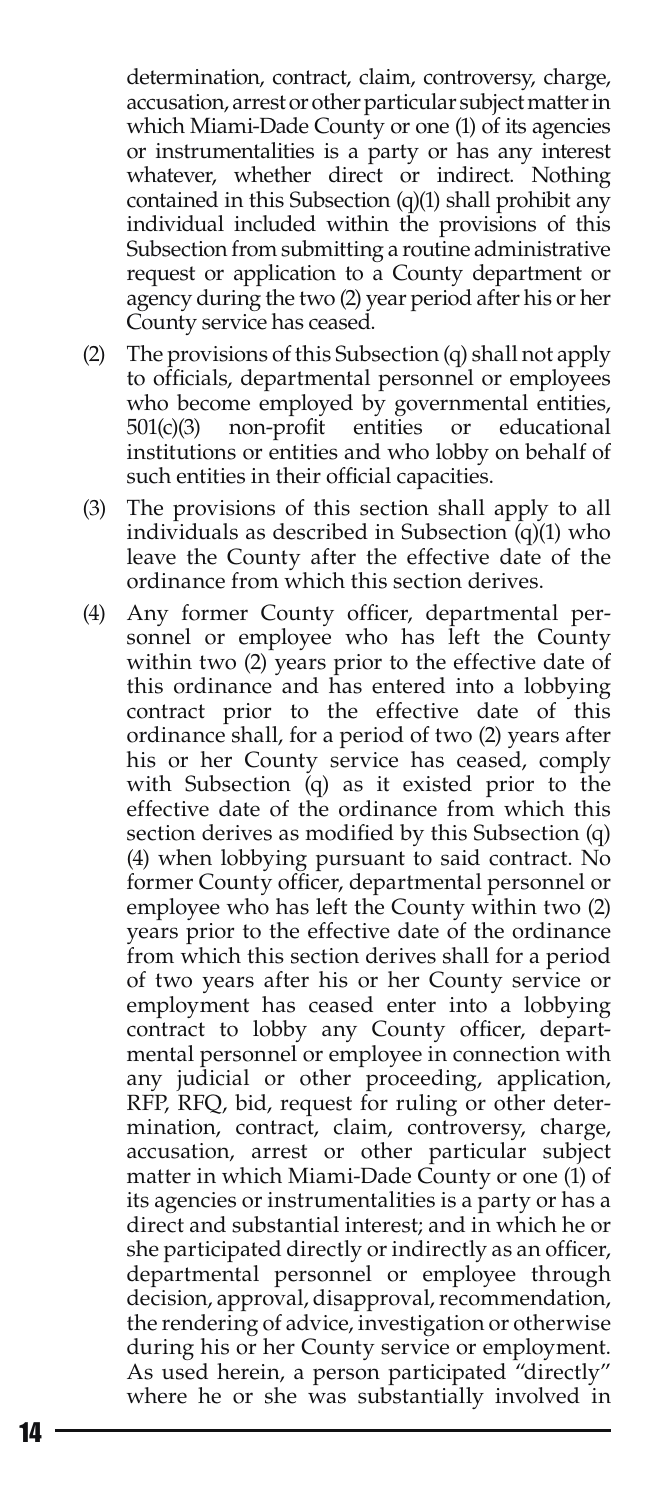determination, contract, claim, controversy, charge, accusation, arrest or other particular subject matter in which Miami-Dade County or one (1) of its agencies or instrumentalities is a party or has any interest whatever, whether direct or indirect. Nothing contained in this Subsection (q)(1) shall prohibit any individual included within the provisions of this Subsection from submitting a routine administrative request or application to a County department or agency during the two (2) year period after his or her County service has ceased.

- (2) The provisions of this Subsection (q) shall not apply to officials, departmental personnel or employees who become employed by governmental entities, 501(c)(3) non-profit entities or educational institutions or entities and who lobby on behalf of such entities in their official capacities.
- (3) The provisions of this section shall apply to all individuals as described in Subsection (q)(1) who leave the County after the effective date of the ordinance from which this section derives.
- (4) Any former County officer, departmental personnel or employee who has left the County within two (2) years prior to the effective date of this ordinance and has entered into a lobbying contract prior to the effective date of this ordinance shall, for a period of two (2) years after his or her County service has ceased, comply with Subsection (q) as it existed prior to the effective date of the ordinance from which this section derives as modified by this Subsection (q) (4) when lobbying pursuant to said contract. No former County officer, departmental personnel or employee who has left the County within two (2) years prior to the effective date of the ordinance from which this section derives shall for a period of two years after his or her County service or employment has ceased enter into a lobbying contract to lobby any County officer, departmental personnel or employee in connection with any judicial or other proceeding, application, RFP, RFQ, bid, request for ruling or other determination, contract, claim, controversy, charge, accusation, arrest or other particular subject matter in which Miami-Dade County or one (1) of its agencies or instrumentalities is a party or has a direct and substantial interest; and in which he or she participated directly or indirectly as an officer, departmental personnel or employee through decision, approval, disapproval, recommendation, the rendering of advice, investigation or otherwise during his or her County service or employment. As used herein, a person participated "directly" where he or she was substantially involved in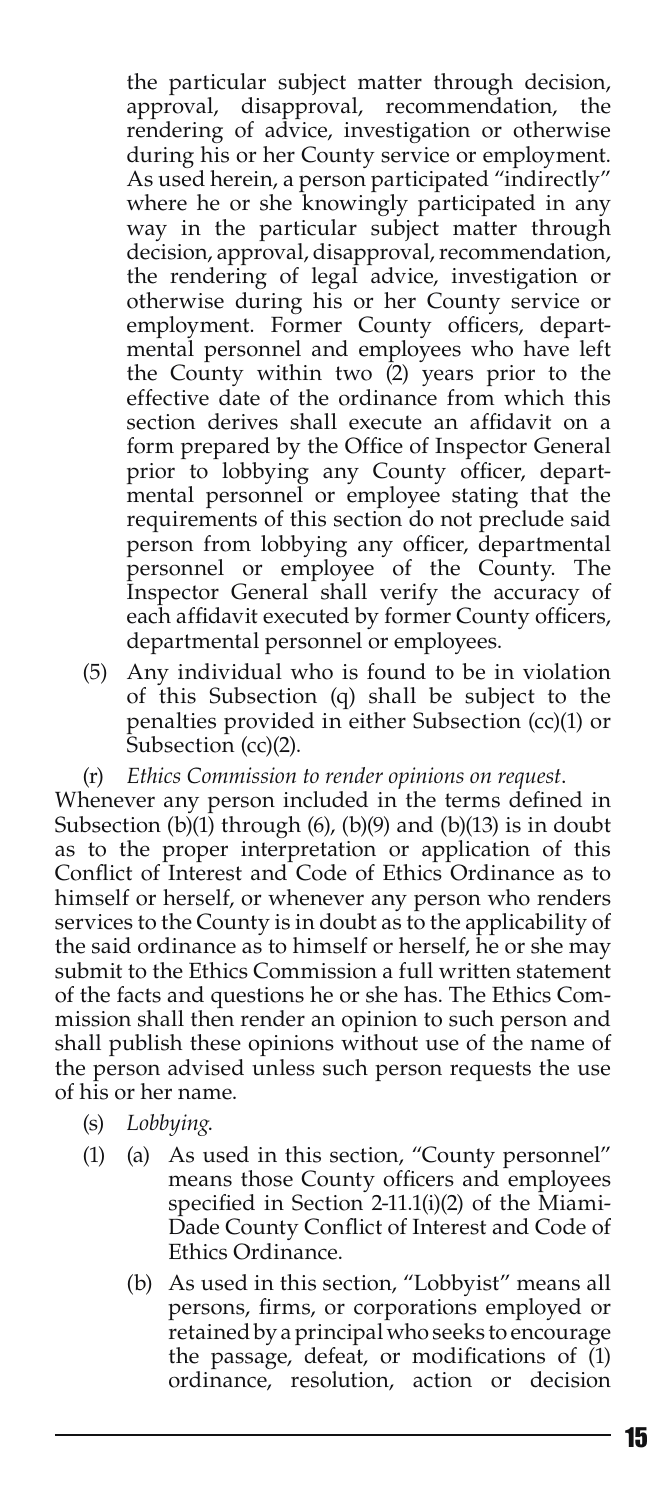the particular subject matter through decision, approval, disapproval, recommendation, the rendering of advice, investigation or otherwise during his or her County service or employment. As used herein, a person participated "indirectly" where he or she knowingly participated in any way in the particular subject matter through decision, approval, disapproval, recommendation, the rendering of legal advice, investigation or otherwise during his or her County service or employment. Former County officers, departmental personnel and employees who have left the County within two  $(2)$  years prior to the effective date of the ordinance from which this section derives shall execute an affidavit on a form prepared by the Office of Inspector General prior to lobbying any County officer, departmental personnel or employee stating that the requirements of this section do not preclude said person from lobbying any officer, departmental personnel or employee of the County. The Inspector General shall verify the accuracy of each affidavit executed by former County officers, departmental personnel or employees.

- (5) Any individual who is found to be in violation of this Subsection (q) shall be subject to the penalties provided in either Subsection (cc)(1) or Subsection (cc)(2).
- (r) *Ethics Commission to render opinions on request*.

Whenever any person included in the terms defined in Subsection  $(b)(1)$  through  $(b)$ ,  $(b)(9)$  and  $(b)(13)$  is in doubt as to the proper interpretation or application of this Conflict of Interest and Code of Ethics Ordinance as to himself or herself, or whenever any person who renders services to the County is in doubt as to the applicability of the said ordinance as to himself or herself, he or she may submit to the Ethics Commission a full written statement of the facts and questions he or she has. The Ethics Commission shall then render an opinion to such person and shall publish these opinions without use of the name of the person advised unless such person requests the use of his or her name.

- (s) *Lobbying*.
- (1) (a) As used in this section, "County personnel" means those County officers and employees specified in Section 2-11.1(i)(2) of the Miami-Dade County Conflict of Interest and Code of Ethics Ordinance.
	- (b) As used in this section, "Lobbyist" means all persons, firms, or corporations employed or retained by a principal who seeks to encourage the passage, defeat, or modifications of (1) ordinance, resolution, action or decision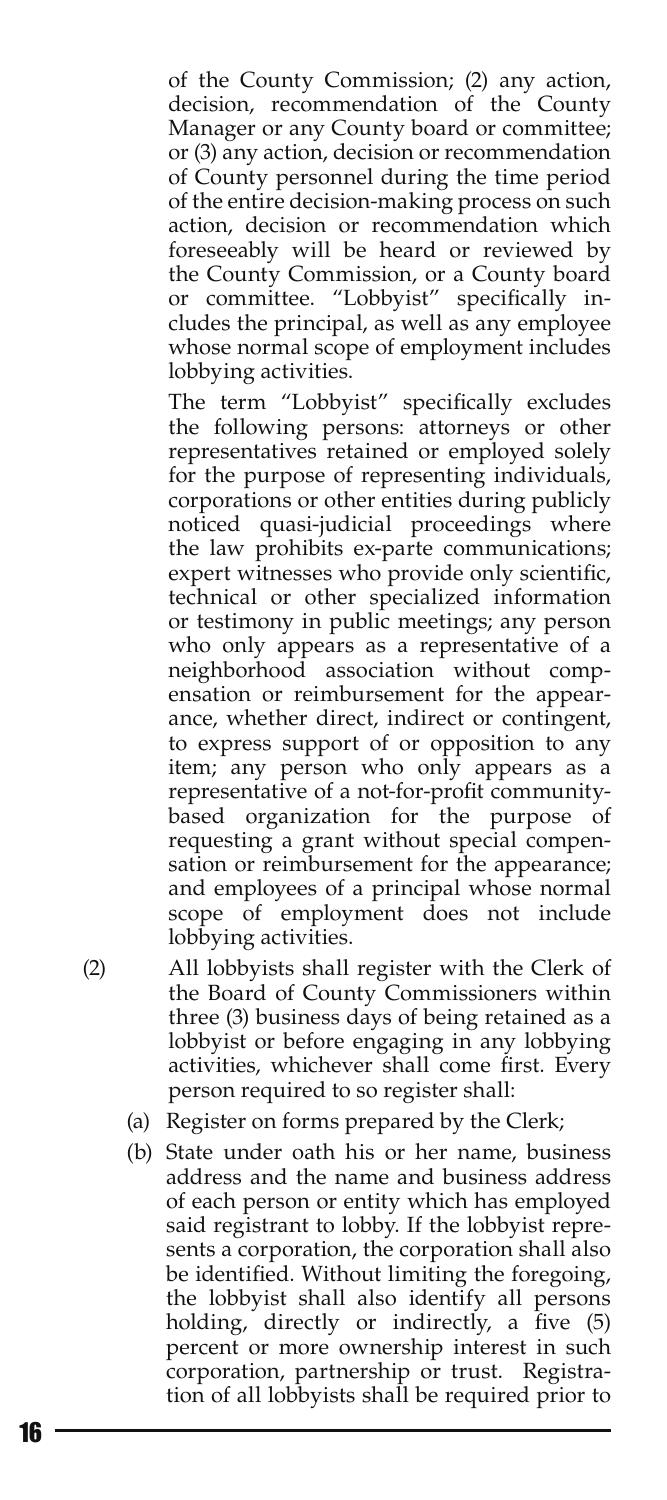of the County Commission; (2) any action, decision, recommendation of the County Manager or any County board or committee; or (3) any action, decision or recommendation of County personnel during the time period of the entire decision-making process on such action, decision or recommendation which foreseeably will be heard or reviewed by the County Commission, or a County board or committee. "Lobbyist" specifically includes the principal, as well as any employee whose normal scope of employment includes lobbying activities.

 The term "Lobbyist" specifically excludes the following persons: attorneys or other representatives retained or employed solely for the purpose of representing individuals, corporations or other entities during publicly noticed quasi-judicial proceedings where the law prohibits ex-parte communications; expert witnesses who provide only scientific, technical or other specialized information or testimony in public meetings; any person who only appears as a representative of a neighborhood association without compensation or reimbursement for the appearance, whether direct, indirect or contingent, to express support of or opposition to any item; any person who only appears as a representative of a not-for-profit communitybased organization for the purpose of requesting a grant without special compensation or reimbursement for the appearance; and employees of a principal whose normal scope of employment does not include lobbying activities.

- (2) All lobbyists shall register with the Clerk of the Board of County Commissioners within three (3) business days of being retained as a lobbyist or before engaging in any lobbying activities, whichever shall come first. Every person required to so register shall:
	- (a) Register on forms prepared by the Clerk;
	- (b) State under oath his or her name, business address and the name and business address of each person or entity which has employed said registrant to lobby. If the lobbyist represents a corporation, the corporation shall also be identified. Without limiting the foregoing, the lobbyist shall also identify all persons holding, directly or indirectly, a five (5) percent or more ownership interest in such corporation, partnership or trust. Registration of all lobbyists shall be required prior to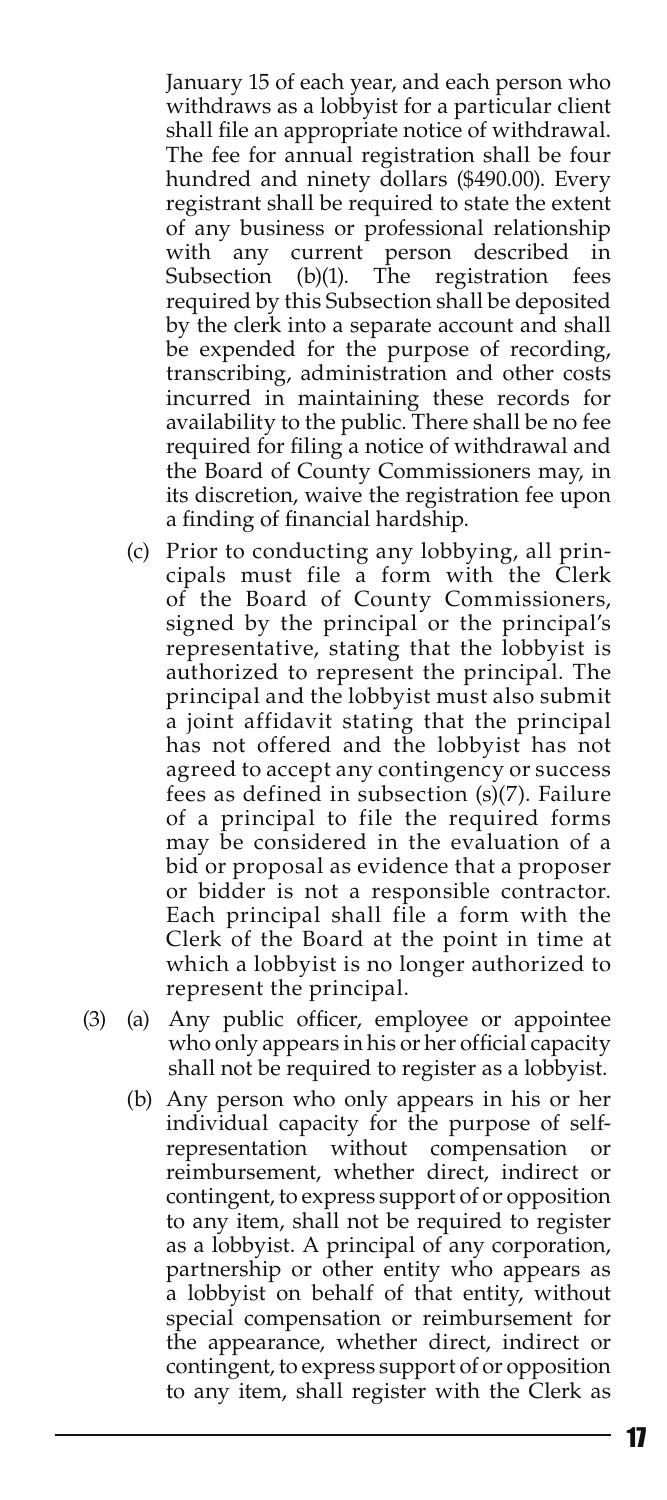January 15 of each year, and each person who withdraws as a lobbyist for a particular client shall file an appropriate notice of withdrawal. The fee for annual registration shall be four hundred and ninety dollars (\$490.00). Every registrant shall be required to state the extent of any business or professional relationship with any current person described in Subsection (b)(1). The registration fees required by this Subsection shall be deposited by the clerk into a separate account and shall be expended for the purpose of recording, transcribing, administration and other costs incurred in maintaining these records for availability to the public. There shall be no fee required for filing a notice of withdrawal and the Board of County Commissioners may, in its discretion, waive the registration fee upon a finding of financial hardship.

- (c) Prior to conducting any lobbying, all principals must file a form with the Clerk of the Board of County Commissioners, signed by the principal or the principal's representative, stating that the lobbyist is authorized to represent the principal. The principal and the lobbyist must also submit a joint affidavit stating that the principal has not offered and the lobbyist has not agreed to accept any contingency or success fees as defined in subsection (s)(7). Failure of a principal to file the required forms may be considered in the evaluation of a bid or proposal as evidence that a proposer or bidder is not a responsible contractor. Each principal shall file a form with the Clerk of the Board at the point in time at which a lobbyist is no longer authorized to represent the principal.
- (3) (a) Any public officer, employee or appointee who only appears in his or her official capacity shall not be required to register as a lobbyist.
	- (b) Any person who only appears in his or her individual capacity for the purpose of selfrepresentation without compensation or reimbursement, whether direct, indirect or contingent, to express support of or opposition to any item, shall not be required to register as a lobbyist. A principal of any corporation, partnership or other entity who appears as a lobbyist on behalf of that entity, without special compensation or reimbursement for the appearance, whether direct, indirect or contingent, to express support of or opposition to any item, shall register with the Clerk as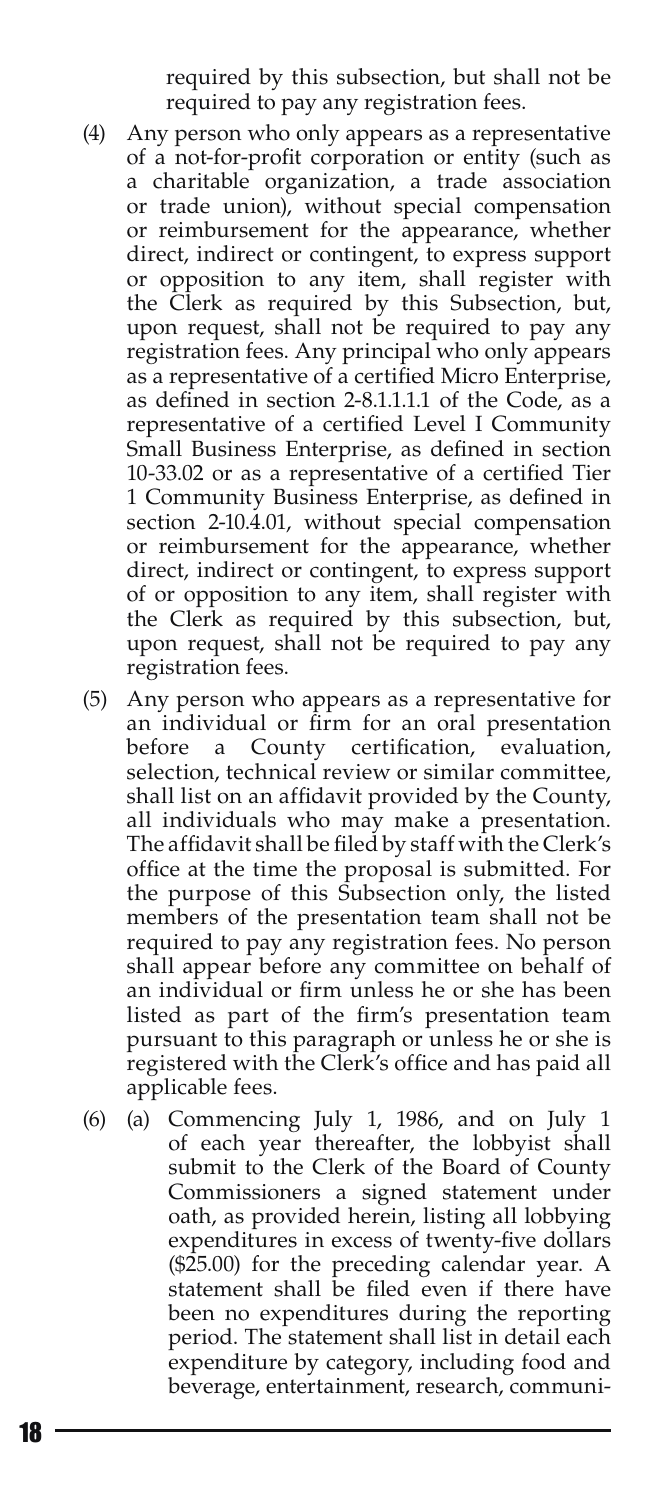required by this subsection, but shall not be required to pay any registration fees.

- (4) Any person who only appears as a representative of a not-for-profit corporation or entity (such as a charitable organization, a trade association or trade union), without special compensation or reimbursement for the appearance, whether direct, indirect or contingent, to express support or opposition to any item, shall register with the Clerk as required by this Subsection, but, upon request, shall not be required to pay any registration fees. Any principal who only appears as a representative of a certified Micro Enterprise, as defined in section 2-8.1.1.1.1 of the Code, as a representative of a certified Level I Community Small Business Enterprise, as defined in section 10-33.02 or as a representative of a certified Tier 1 Community Business Enterprise, as defined in section 2-10.4.01, without special compensation or reimbursement for the appearance, whether direct, indirect or contingent, to express support of or opposition to any item, shall register with the Clerk as required by this subsection, but, upon request, shall not be required to pay any registration fees.
- (5) Any person who appears as a representative for an individual or firm for an oral presentation before a County certification, evaluation, selection, technical review or similar committee, shall list on an affidavit provided by the County, all individuals who may make a presentation. The affidavit shall be filed by staff with the Clerk's office at the time the proposal is submitted. For the purpose of this Subsection only, the listed members of the presentation team shall not be required to pay any registration fees. No person shall appear before any committee on behalf of an individual or firm unless he or she has been listed as part of the firm's presentation team pursuant to this paragraph or unless he or she is registered with the Clerk's office and has paid all applicable fees.
- (6) (a) Commencing July 1, 1986, and on July 1 of each year thereafter, the lobbyist shall submit to the Clerk of the Board of County Commissioners a signed statement under oath, as provided herein, listing all lobbying expenditures in excess of twenty-five dollars (\$25.00) for the preceding calendar year. A statement shall be filed even if there have been no expenditures during the reporting period. The statement shall list in detail each expenditure by category, including food and beverage, entertainment, research, communi-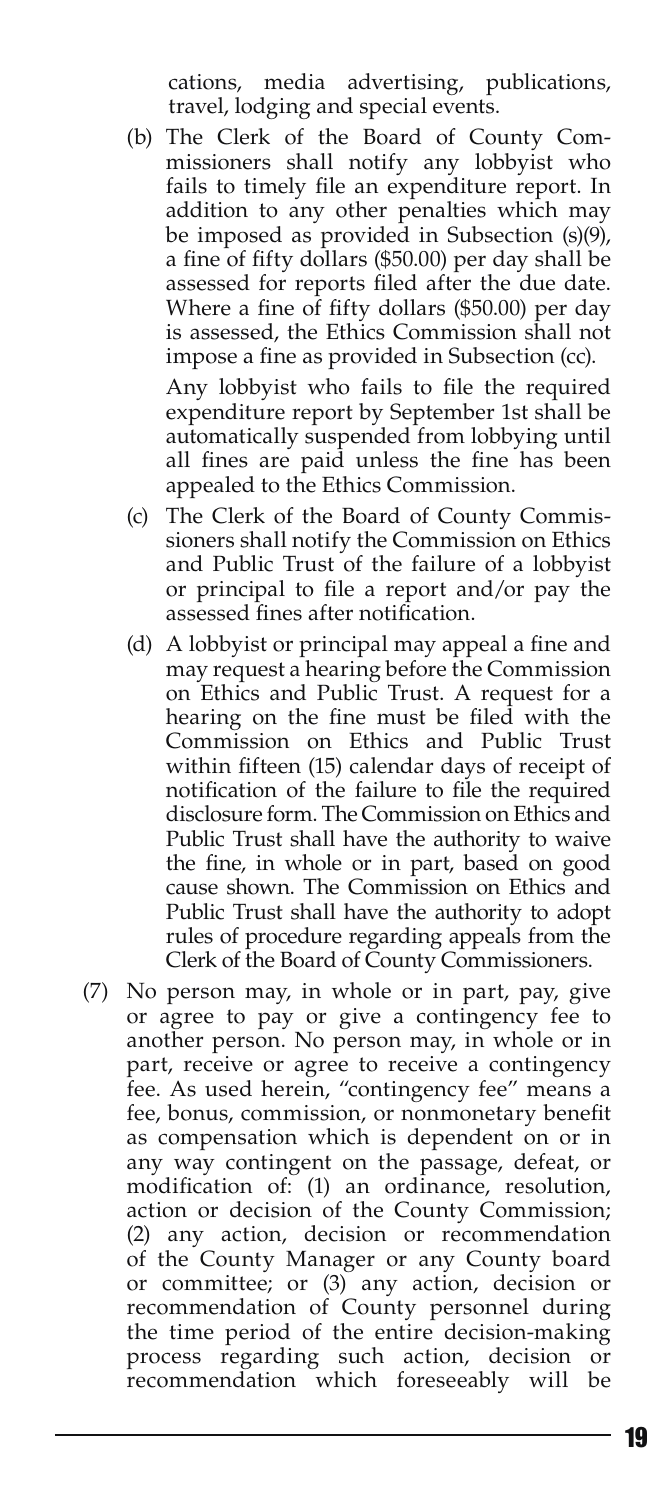cations, media advertising, publications, travel, lodging and special events.

(b) The Clerk of the Board of County Commissioners shall notify any lobbyist who fails to timely file an expenditure report. In addition to any other penalties which may be imposed as provided in Subsection (s)(9), a fine of fifty dollars (\$50.00) per day shall be assessed for reports filed after the due date. Where a fine of fifty dollars (\$50.00) per day is assessed, the Ethics Commission shall not impose a fine as provided in Subsection (cc).

Any lobbyist who fails to file the required expenditure report by September 1st shall be automatically suspended from lobbying until all fines are paid unless the fine has been appealed to the Ethics Commission.

- (c) The Clerk of the Board of County Commissioners shall notify the Commission on Ethics and Public Trust of the failure of a lobbyist or principal to file a report and/or pay the assessed fines after notification.
- (d) A lobbyist or principal may appeal a fine and may request a hearing before the Commission on Ethics and Public Trust. A request for a hearing on the fine must be filed with the Commission on Ethics and Public Trust within fifteen (15) calendar days of receipt of notification of the failure to file the required disclosure form. The Commission on Ethics and Public Trust shall have the authority to waive the fine, in whole or in part, based on good cause shown. The Commission on Ethics and Public Trust shall have the authority to adopt rules of procedure regarding appeals from the Clerk of the Board of County Commissioners.
- (7) No person may, in whole or in part, pay, give or agree to pay or give a contingency fee to another person. No person may, in whole or in part, receive or agree to receive a contingency fee. As used herein, "contingency fee" means a fee, bonus, commission, or nonmonetary benefit as compensation which is dependent on or in any way contingent on the passage, defeat, or modification of: (1) an ordinance, resolution, action or decision of the County Commission; (2) any action, decision or recommendation of the County Manager or any County board or committee; or (3) any action, decision or recommendation of County personnel during the time period of the entire decision-making process regarding such action, decision or recommendation which foreseeably will be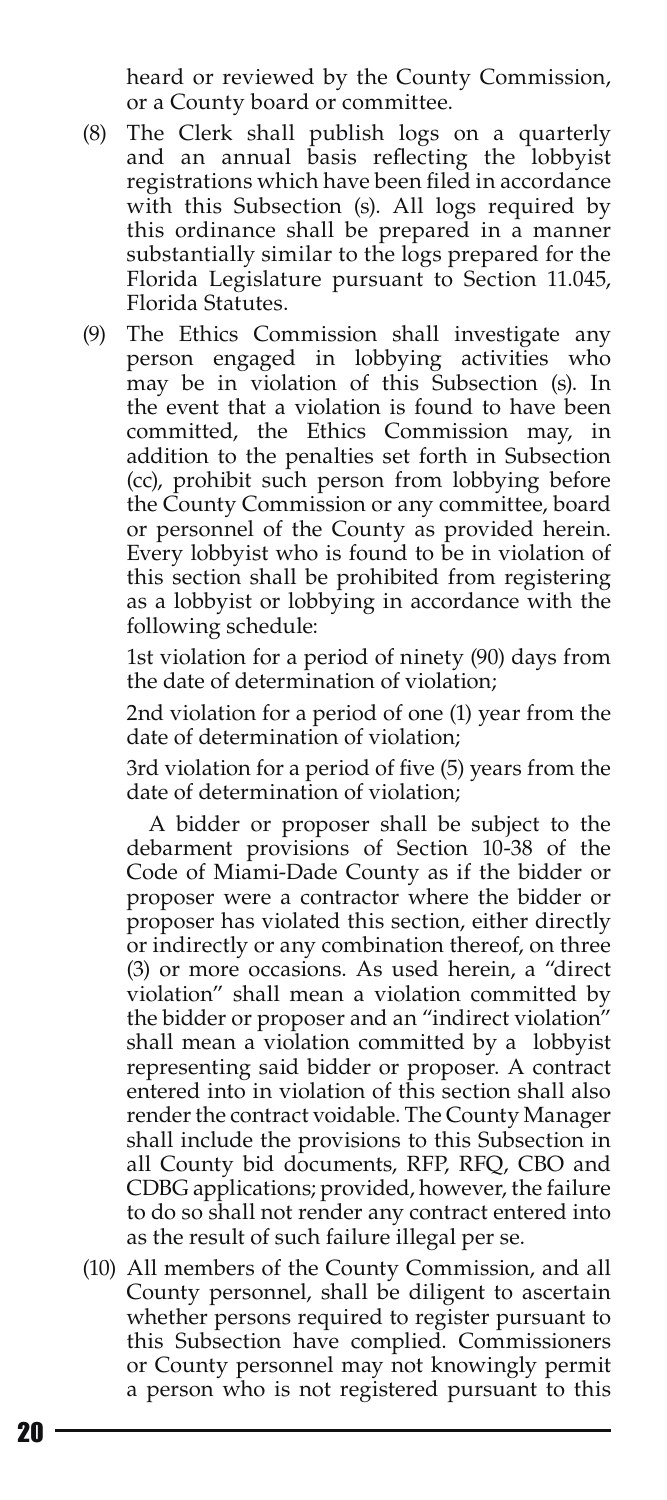heard or reviewed by the County Commission, or a County board or committee.

- (8) The Clerk shall publish logs on a quarterly and an annual basis reflecting the lobbyist registrations which have been filed in accordance with this Subsection (s). All logs required by this ordinance shall be prepared in a manner substantially similar to the logs prepared for the Florida Legislature pursuant to Section 11.045, Florida Statutes.
- (9) The Ethics Commission shall investigate any person engaged in lobbying activities who may be in violation of this Subsection (s). In the event that a violation is found to have been committed, the Ethics Commission may, in addition to the penalties set forth in Subsection (cc), prohibit such person from lobbying before the County Commission or any committee, board or personnel of the County as provided herein. Every lobbyist who is found to be in violation of this section shall be prohibited from registering as a lobbyist or lobbying in accordance with the following schedule:

1st violation for a period of ninety (90) days from the date of determination of violation;

2nd violation for a period of one (1) year from the date of determination of violation;

3rd violation for a period of five (5) years from the date of determination of violation;

 A bidder or proposer shall be subject to the debarment provisions of Section 10-38 of the Code of Miami-Dade County as if the bidder or proposer were a contractor where the bidder or proposer has violated this section, either directly or indirectly or any combination thereof, on three (3) or more occasions. As used herein, a "direct violation" shall mean a violation committed by the bidder or proposer and an "indirect violation" shall mean a violation committed by a lobbyist representing said bidder or proposer. A contract entered into in violation of this section shall also render the contract voidable. The County Manager shall include the provisions to this Subsection in all County bid documents, RFP, RFQ, CBO and CDBG applications; provided, however, the failure to do so shall not render any contract entered into as the result of such failure illegal per se.

(10) All members of the County Commission, and all County personnel, shall be diligent to ascertain whether persons required to register pursuant to this Subsection have complied. Commissioners or County personnel may not knowingly permit a person who is not registered pursuant to this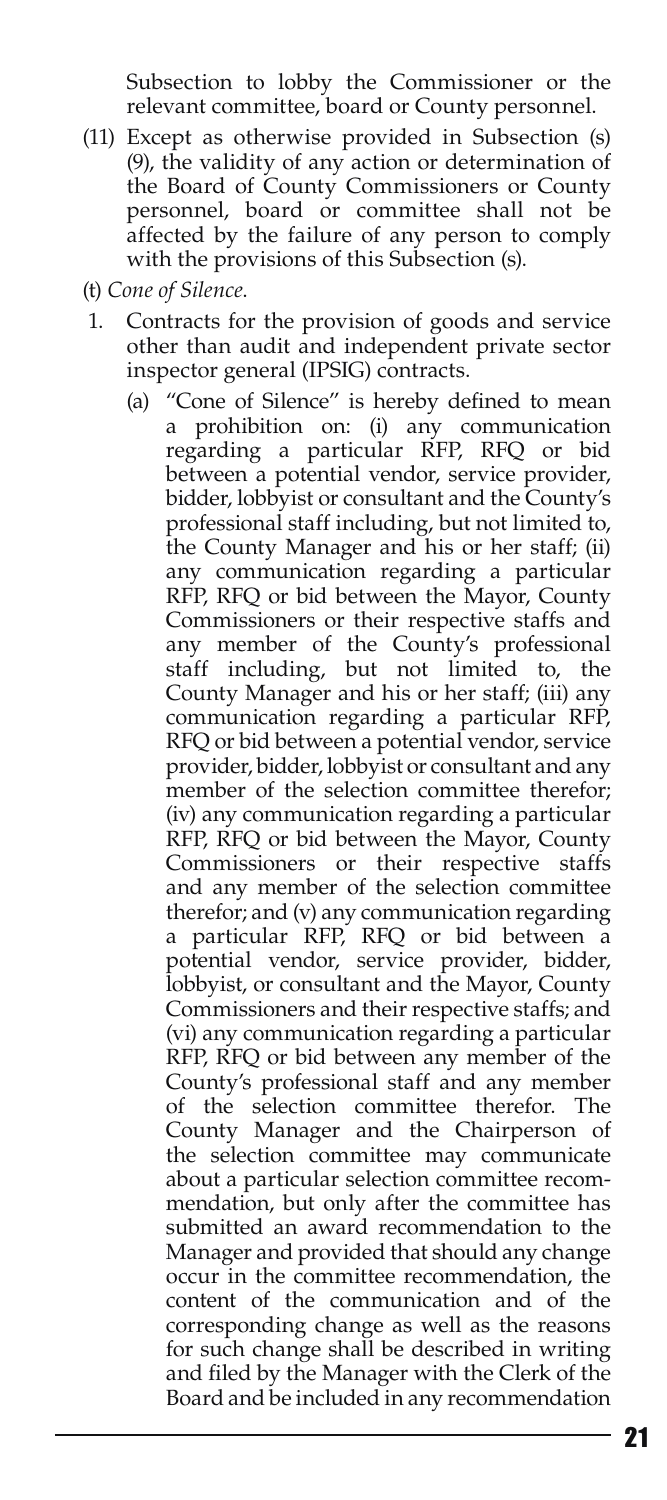Subsection to lobby the Commissioner or the relevant committee, board or County personnel.

- (11) Except as otherwise provided in Subsection (s) (9), the validity of any action or determination of the Board of County Commissioners or County personnel, board or committee shall not be affected by the failure of any person to comply with the provisions of this Subsection (s).
- (t) *Cone of Silence*.
- 1. Contracts for the provision of goods and service other than audit and independent private sector inspector general (IPSIG) contracts.
	- (a) "Cone of Silence" is hereby defined to mean a prohibition on: (i) any communication regarding a particular RFP, RFQ or bid between a potential vendor, service provider, bidder, lobbyist or consultant and the County's professional staff including, but not limited to, the County Manager and his or her staff; (ii) any communication regarding a particular RFP, RFQ or bid between the Mayor, County Commissioners or their respective staffs and any member of the County's professional staff including, but not limited to, the County Manager and his or her staff; (iii) any communication regarding a particular RFP, RFQ or bid between a potential vendor, service provider, bidder, lobbyist or consultant and any member of the selection committee therefor; (iv) any communication regarding a particular RFP, RFQ or bid between the Mayor, County Commissioners or their respective staffs and any member of the selection committee therefor; and (v) any communication regarding a particular RFP, RFQ or bid between a potential vendor, service provider, bidder, lobbyist, or consultant and the Mayor, County Commissioners and their respective staffs; and (vi) any communication regarding a particular RFP, RFQ or bid between any member of the County's professional staff and any member of the selection committee therefor. The County Manager and the Chairperson of the selection committee may communicate about a particular selection committee recommendation, but only after the committee has submitted an award recommendation to the Manager and provided that should any change occur in the committee recommendation, the content of the communication and of the corresponding change as well as the reasons for such change shall be described in writing and filed by the Manager with the Clerk of the Board and be included in any recommendation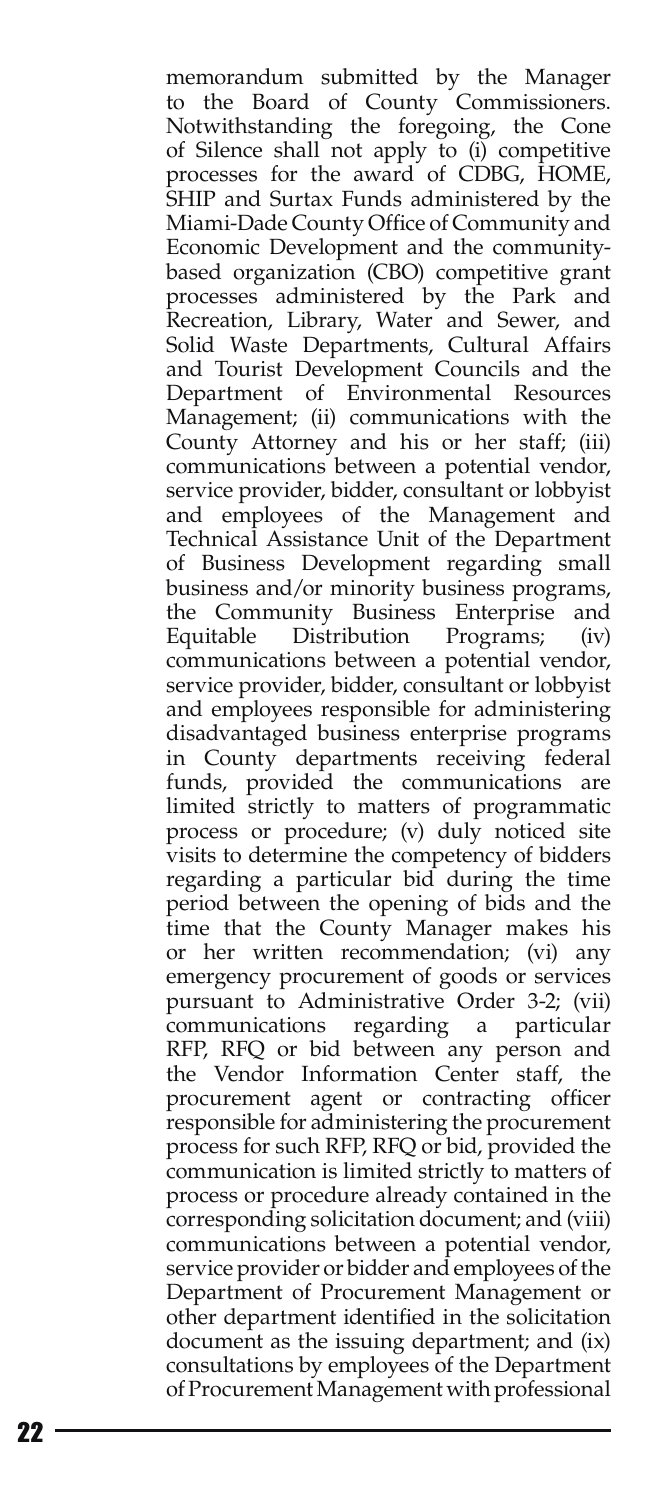memorandum submitted by the Manager to the Board of County Commissioners . Notwithstanding the foregoing, the Cone of Silence shall not apply to (i) competitive processes for the award of CDBG, HOME, SHIP and Surtax Funds administered by the Miami-Dade County Office of Community and Economic Development and the communitybased organization (CBO) competitive grant processes administered by the Park and Recreation, Library, Water and Sewer, and Solid Waste Departments, Cultural Affairs and Tourist Development Councils and the Department of Environmental Resources Management; (ii) communications with the County Attorney and his or her staff; (iii) communications between a potential vendor, service provider, bidder, consultant or lobbyist and employees of the Management and Technical Assistance Unit of the Department of Business Development regarding small business and/or minority business programs, the Community Business Enterprise and Equitable Distribution Programs; (iv) communications between a potential vendor, service provider, bidder, consultant or lobbyist and employees responsible for administering disadvantaged business enterprise programs in County departments receiving federal funds, provided the communications are limited strictly to matters of programmatic process or procedure; (v) duly noticed site visits to determine the competency of bidders regarding a particular bid during the time period between the opening of bids and the time that the County Manager makes his or her written recommendation; (vi) any emergency procurement of goods or services pursuant to Administrative Order 3-2; (vii) communications regarding a particular RFP, RFQ or bid between any person and the Vendor Information Center staff, the procurement agent or contracting officer responsible for administering the procurement process for such RFP, RFQ or bid, provided the communication is limited strictly to matters of process or procedure already contained in the corresponding solicitation document; and (viii) communications between a potential vendor, service provider or bidder and employees of the Department of Procurement Management or other department identified in the solicitation document as the issuing department; and (ix) consultations by employees of the Department of Procurement Management with professional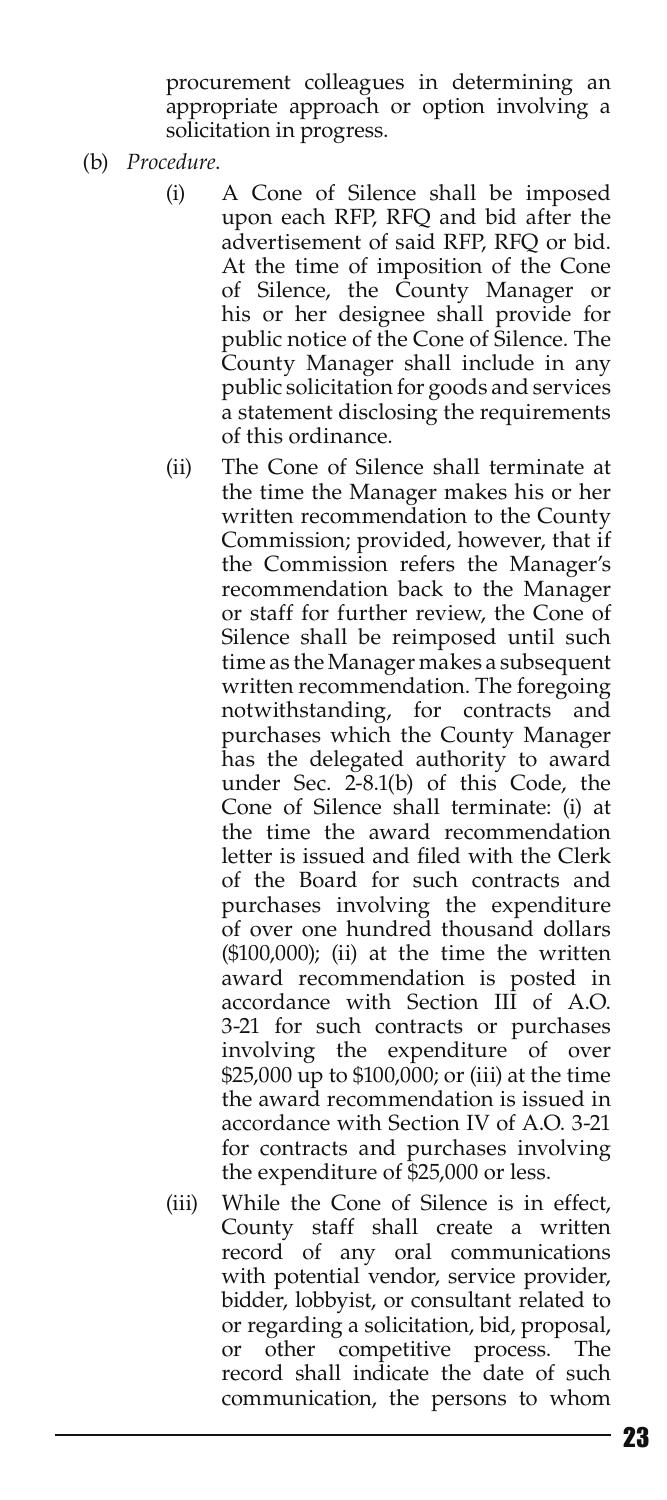procurement colleagues in determining an appropriate approach or option involving a solicitation in progress.

- (b) *Procedure*.
	- (i) A Cone of Silence shall be imposed upon each RFP, RFQ and bid after the advertisement of said RFP, RFQ or bid. At the time of imposition of the Cone of Silence, the County Manager or his or her designee shall provide for public notice of the Cone of Silence. The County Manager shall include in any public solicitation for goods and services a statement disclosing the requirements of this ordinance.
	- (ii) The Cone of Silence shall terminate at the time the Manager makes his or her written recommendation to the County Commission; provided, however, that if the Commission refers the Manager's recommendation back to the Manager or staff for further review, the Cone of Silence shall be reimposed until such time as the Manager makes a subsequent written recommendation. The foregoing notwithstanding, for contracts and purchases which the County Manager has the delegated authority to award under Sec. 2-8.1(b) of this Code, the Cone of Silence shall terminate: (i) at the time the award recommendation letter is issued and filed with the Clerk of the Board for such contracts and purchases involving the expenditure of over one hundred thousand dollars (\$100,000); (ii) at the time the written award recommendation is posted in accordance with Section III of A.O. 3-21 for such contracts or purchases involving the expenditure of over \$25,000 up to \$100,000; or (iii) at the time the award recommendation is issued in accordance with Section IV of A.O. 3-21 for contracts and purchases involving the expenditure of \$25,000 or less.
	- (iii) While the Cone of Silence is in effect, County staff shall create a written record of any oral communications with potential vendor, service provider, bidder, lobbyist, or consultant related to or regarding a solicitation, bid, proposal, or other competitive process. The record shall indicate the date of such communication, the persons to whom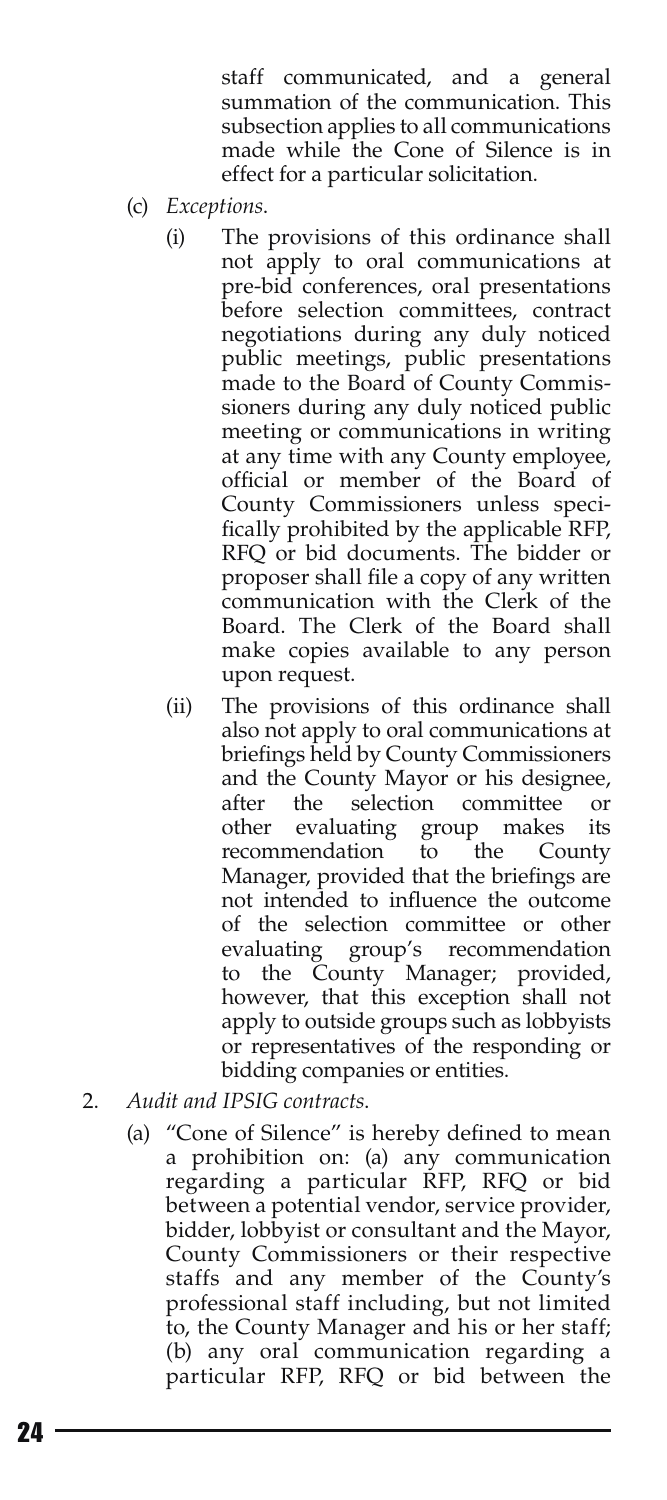staff communicated, and a general summation of the communication. This subsection applies to all communications made while the Cone of Silence is in effect for a particular solicitation.

- (c) *Exceptions*.
	- (i) The provisions of this ordinance shall not apply to oral communications at pre-bid conferences, oral presentations before selection committees, contract negotiations during any duly noticed public meetings, public presentations made to the Board of County Commissioners during any duly noticed public meeting or communications in writing at any time with any County employee, official or member of the Board of County Commissioners unless specifically prohibited by the applicable RFP, RFQ or bid documents. The bidder or proposer shall file a copy of any written communication with the Clerk of the Board. The Clerk of the Board shall make copies available to any person upon request.
	- (ii) The provisions of this ordinance shall also not apply to oral communications at briefings held by County Commissioners and the County Mayor or his designee, after the selection committee or<br>other evaluating group makes its other evaluating group makes its recommendation to the County Manager, provided that the briefings are not intended to influence the outcome of the selection committee or other evaluating group's recommendation to the County Manager; provided, however, that this exception shall not apply to outside groups such as lobbyists or representatives of the responding or bidding companies or entities.
- 2. *Audit and IPSIG contracts*.
	- (a) "Cone of Silence" is hereby defined to mean a prohibition on: (a) any communication regarding a particular RFP, RFQ or bid between a potential vendor, service provider, bidder, lobbyist or consultant and the Mayor, County Commissioners or their respective staffs and any member of the County's professional staff including, but not limited to, the County Manager and his or her staff; (b) any oral communication regarding a particular RFP, RFQ or bid between the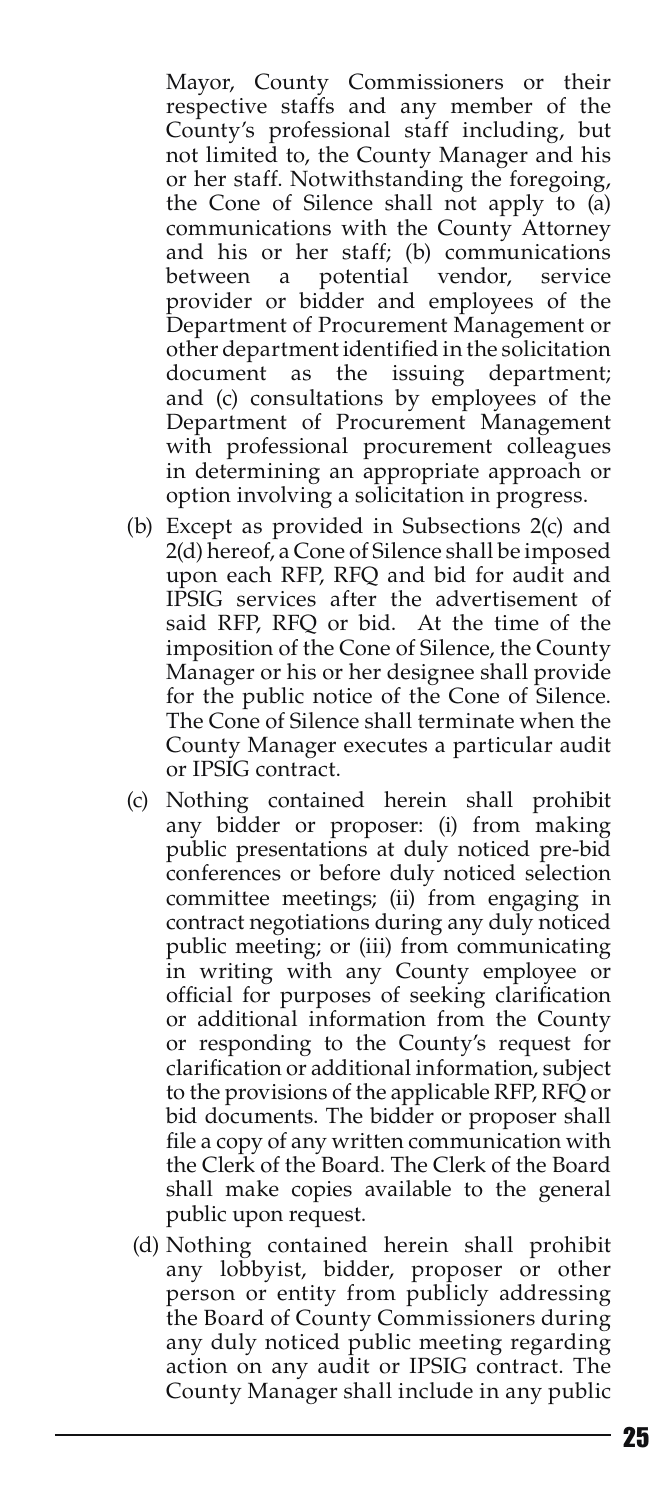Mayor, County Commissioners or their respective staffs and any member of the County's professional staff including, but not limited to, the County Manager and his or her staff. Notwithstanding the foregoing, the Cone of Silence shall not apply to (a) communications with the County Attorney and his or her staff; (b) communications between a potential vendor, service provider or bidder and employees of the Department of Procurement Management or other department identified in the solicitation document as the issuing department; and (c) consultations by employees of the Department of Procurement Management with professional procurement colleagues in determining an appropriate approach or option involving a solicitation in progress.

- (b) Except as provided in Subsections 2(c) and 2(d) hereof, a Cone of Silence shall be imposed upon each RFP, RFQ and bid for audit and IPSIG services after the advertisement of said RFP, RFQ or bid. At the time of the imposition of the Cone of Silence, the County Manager or his or her designee shall provide for the public notice of the Cone of Silence. The Cone of Silence shall terminate when the County Manager executes a particular audit or IPSIG contract.
- (c) Nothing contained herein shall prohibit any bidder or proposer: (i) from making public presentations at duly noticed pre-bid conferences or before duly noticed selection committee meetings; (ii) from engaging in contract negotiations during any duly noticed public meeting; or (iii) from communicating in writing with any County employee or official for purposes of seeking clarification or additional information from the County or responding to the County's request for clarification or additional information, subject to the provisions of the applicable RFP, RFQ or bid documents. The bidder or proposer shall file a copy of any written communication with the Clerk of the Board. The Clerk of the Board shall make copies available to the general public upon request.
- (d) Nothing contained herein shall prohibit any lobbyist, bidder, proposer or other person or entity from publicly addressing the Board of County Commissioners during any duly noticed public meeting regarding action on any audit or IPSIG contract. The County Manager shall include in any public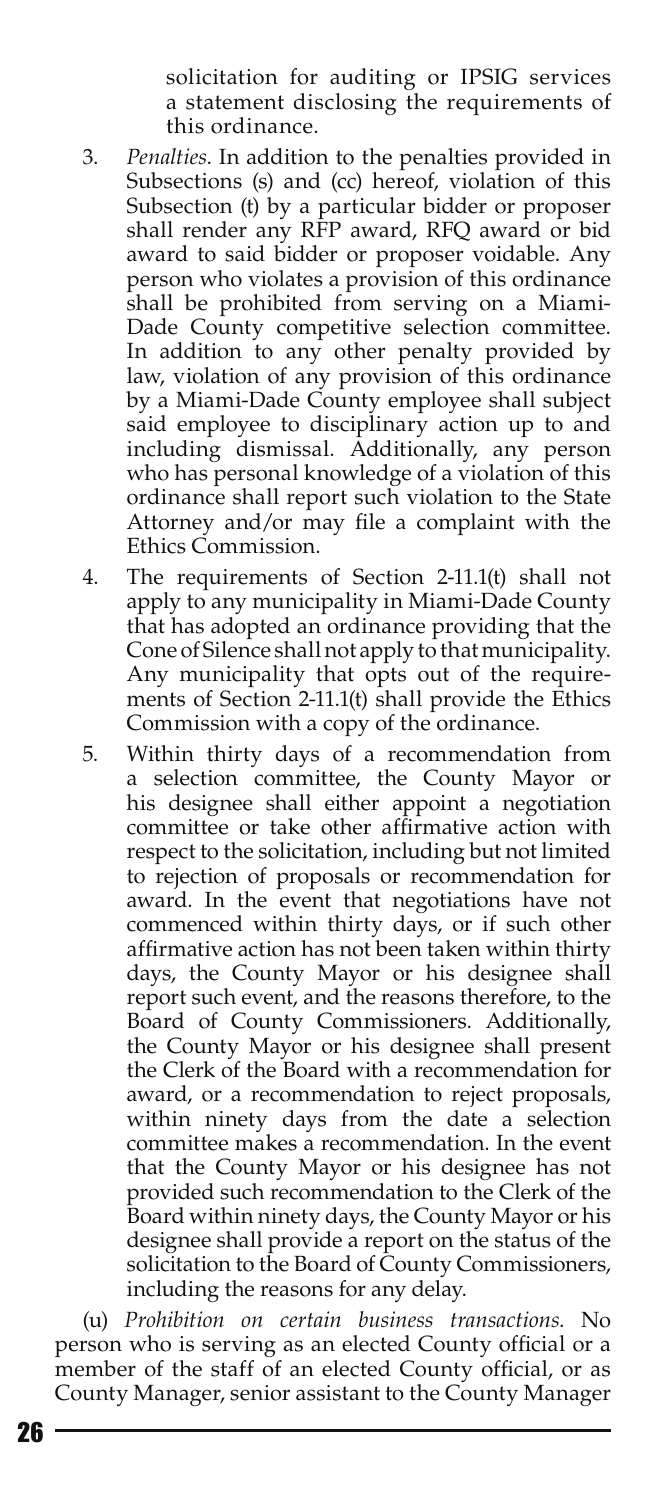solicitation for auditing or IPSIG services a statement disclosing the requirements of this ordinance.

- 3. *Penalties*. In addition to the penalties provided in Subsections (s) and (cc) hereof, violation of this Subsection (t) by a particular bidder or proposer shall render any RFP award, RFQ award or bid award to said bidder or proposer voidable. Any person who violates a provision of this ordinance shall be prohibited from serving on a Miami-Dade County competitive selection committee. In addition to any other penalty provided by law, violation of any provision of this ordinance by a Miami-Dade County employee shall subject said employee to disciplinary action up to and including dismissal. Additionally, any person who has personal knowledge of a violation of this ordinance shall report such violation to the State Attorney and/or may file a complaint with the Ethics Commission.
- 4. The requirements of Section 2-11.1(t) shall not apply to any municipality in Miami-Dade County that has adopted an ordinance providing that the Cone of Silence shall not apply to that municipality. Any municipality that opts out of the requirements of Section 2-11.1(t) shall provide the Ethics Commission with a copy of the ordinance.
- 5. Within thirty days of a recommendation from a selection committee, the County Mayor or his designee shall either appoint a negotiation committee or take other affirmative action with respect to the solicitation, including but not limited to rejection of proposals or recommendation for award. In the event that negotiations have not commenced within thirty days, or if such other affirmative action has not been taken within thirty days, the County Mayor or his designee shall report such event, and the reasons therefore, to the Board of County Commissioners. Additionally, the County Mayor or his designee shall present the Clerk of the Board with a recommendation for award, or a recommendation to reject proposals, within ninety days from the date a selection committee makes a recommendation. In the event that the County Mayor or his designee has not provided such recommendation to the Clerk of the Board within ninety days, the County Mayor or his designee shall provide a report on the status of the solicitation to the Board of County Commissioners, including the reasons for any delay.

(u) *Prohibition on certain business transactions*. No person who is serving as an elected County official or a member of the staff of an elected County official, or as County Manager, senior assistant to the County Manager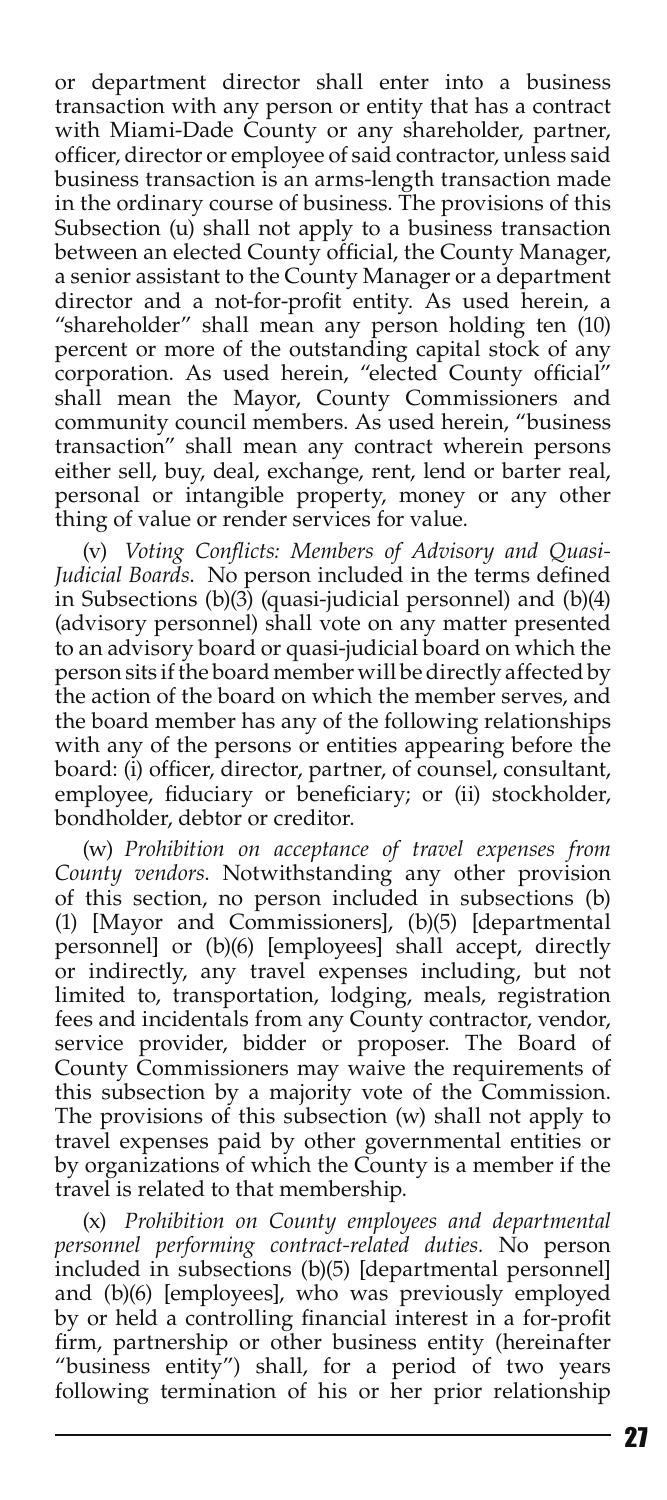or department director shall enter into a business transaction with any person or entity that has a contract with Miami-Dade County or any shareholder, partner, officer, director or employee of said contractor, unless said business transaction is an arms-length transaction made in the ordinary course of business. The provisions of this Subsection (u) shall not apply to a business transaction between an elected County official, the County Manager, a senior assistant to the County Manager or a department director and a not-for-profit entity. As used herein, a "shareholder" shall mean any person holding ten (10) percent or more of the outstanding capital stock of any corporation. As used herein, "elected County official" shall mean the Mayor, County Commissioners and community council members. As used herein, "business transaction" shall mean any contract wherein persons either sell, buy, deal, exchange, rent, lend or barter real, personal or intangible property, money or any other thing of value or render services for value.

(v) *Voting Conflicts: Members of Advisory and Quasi-Judicial Boards*. No person included in the terms defined in Subsections  $(b)(3)$  (quasi-judicial personnel) and  $(b)(4)$ (advisory personnel) shall vote on any matter presented to an advisory board or quasi-judicial board on which the person sits if the board member will be directly affected by the action of the board on which the member serves, and the board member has any of the following relationships with any of the persons or entities appearing before the board: (i) officer, director, partner, of counsel, consultant, employee, fiduciary or beneficiary; or (ii) stockholder, bondholder, debtor or creditor.

(w) *Prohibition on acceptance of travel expenses from County vendors*. Notwithstanding any other provision of this section, no person included in subsections (b) (1) [Mayor and Commissioners], (b)(5) [departmental personnel] or (b)(6) [employees] shall accept, directly or indirectly, any travel expenses including, but not limited to, transportation, lodging, meals, registration fees and incidentals from any County contractor, vendor, service provider, bidder or proposer. The Board of County Commissioners may waive the requirements of this subsection by a majority vote of the Commission. The provisions of this subsection (w) shall not apply to travel expenses paid by other governmental entities or by organizations of which the County is a member if the travel is related to that membership.

(x) *Prohibition on County employees and departmental personnel performing contract-related duties.* No person included in subsections (b)(5) [departmental personnel] and (b)(6) [employees], who was previously employed by or held a controlling financial interest in a for-profit firm, partnership or other business entity (hereinafter "business entity") shall, for a period of two years following termination of his or her prior relationship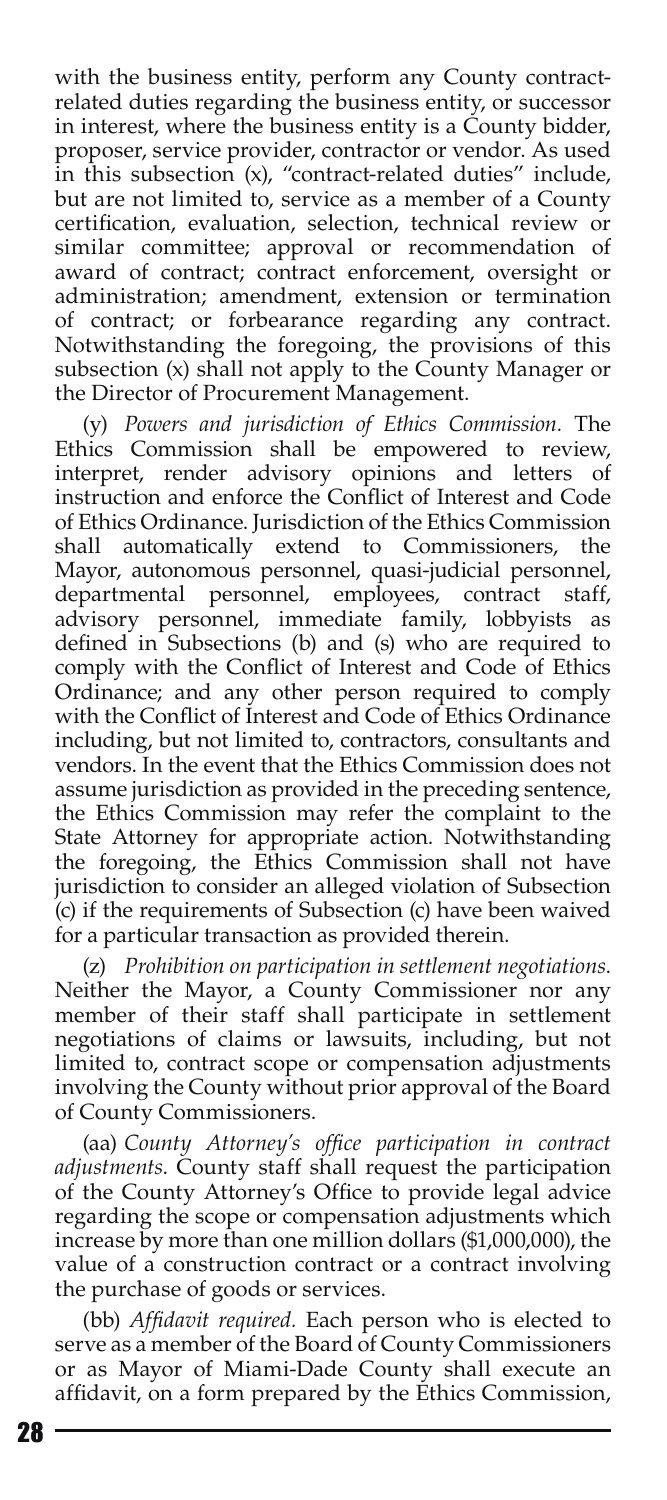with the business entity, perform any County contractrelated duties regarding the business entity, or successor in interest, where the business entity is a County bidder, proposer, service provider, contractor or vendor. As used in this subsection (x), "contract-related duties" include, but are not limited to, service as a member of a County certification, evaluation, selection, technical review or similar committee; approval or recommendation of award of contract; contract enforcement, oversight or administration; amendment, extension or termination of contract; or forbearance regarding any contract. Notwithstanding the foregoing, the provisions of this subsection (x) shall not apply to the County Manager or the Director of Procurement Management.

(y) *Powers and jurisdiction of Ethics Commission.* The Ethics Commission shall be empowered to review, interpret, render advisory opinions and letters of instruction and enforce the Conflict of Interest and Code of Ethics Ordinance. Jurisdiction of the Ethics Commission shall automatically extend to Commissioners, the Mayor, autonomous personnel, quasi-judicial personnel, departmental personnel, employees, contract staff, advisory personnel, immediate family, lobbyists as defined in Subsections (b) and (s) who are required to comply with the Conflict of Interest and Code of Ethics Ordinance; and any other person required to comply with the Conflict of Interest and Code of Ethics Ordinance including, but not limited to, contractors, consultants and vendors. In the event that the Ethics Commission does not assume jurisdiction as provided in the preceding sentence, the Ethics Commission may refer the complaint to the State Attorney for appropriate action. Notwithstanding the foregoing, the Ethics Commission shall not have jurisdiction to consider an alleged violation of Subsection (c) if the requirements of Subsection (c) have been waived for a particular transaction as provided therein.

(z) *Prohibition on participation in settlement negotiations*. Neither the Mayor, a County Commissioner nor any member of their staff shall participate in settlement negotiations of claims or lawsuits, including, but not limited to, contract scope or compensation adjustments involving the County without prior approval of the Board of County Commissioners.

(aa) *County Attorney's office participation in contract adjustments*. County staff shall request the participation of the County Attorney's Office to provide legal advice regarding the scope or compensation adjustments which increase by more than one million dollars (\$1,000,000), the value of a construction contract or a contract involving the purchase of goods or services.

(bb) *Affidavit required.* Each person who is elected to serve as a member of the Board of County Commissioners or as Mayor of Miami-Dade County shall execute an affidavit, on a form prepared by the Ethics Commission,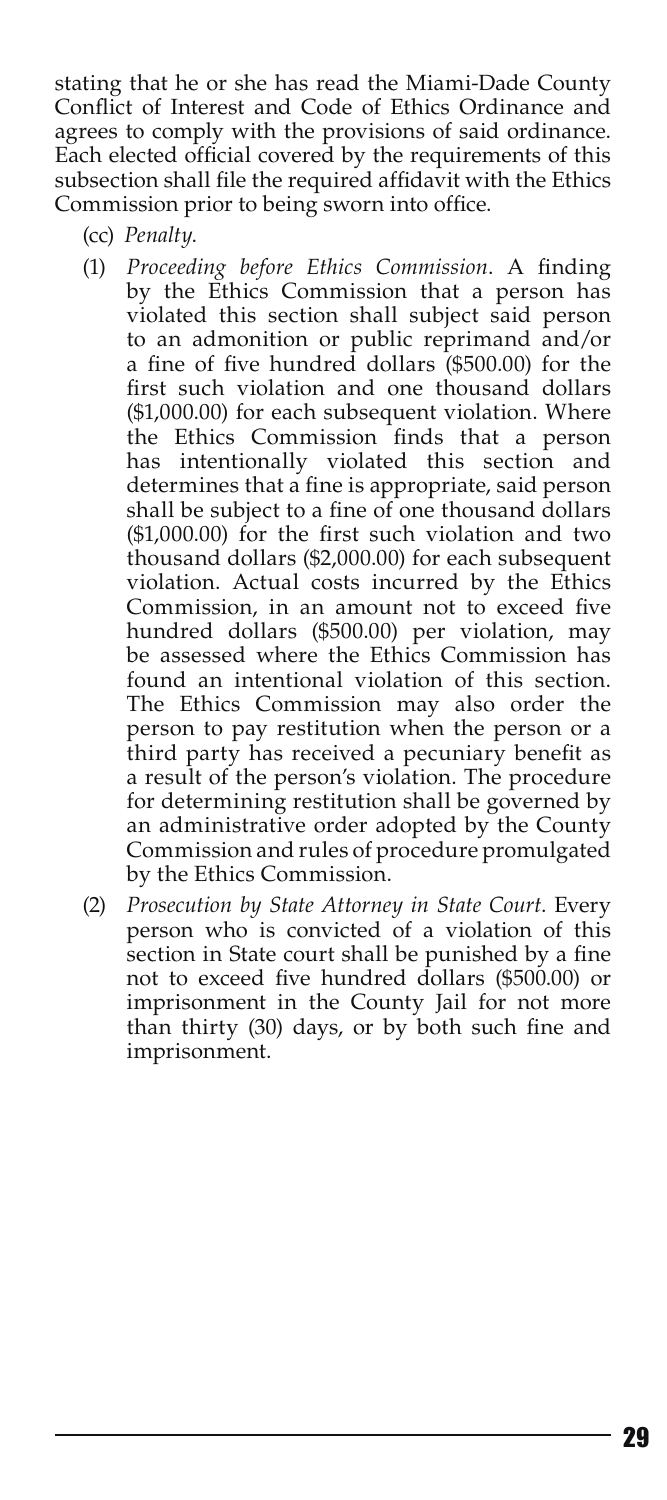stating that he or she has read the Miami-Dade County Conflict of Interest and Code of Ethics Ordinance and agrees to comply with the provisions of said ordinance. Each elected official covered by the requirements of this subsection shall file the required affidavit with the Ethics Commission prior to being sworn into office.

- (cc) *Penalty*.
- (1) *Proceeding before Ethics Commission*. A finding by the Ethics Commission that a person has violated this section shall subject said person to an admonition or public reprimand and/or a fine of five hundred dollars (\$500.00) for the first such violation and one thousand dollars (\$1,000.00) for each subsequent violation. Where the Ethics Commission finds that a person has intentionally violated this section and determines that a fine is appropriate, said person shall be subject to a fine of one thousand dollars (\$1,000.00) for the first such violation and two thousand dollars (\$2,000.00) for each subsequent violation. Actual costs incurred by the Ethics Commission, in an amount not to exceed five hundred dollars (\$500.00) per violation, may be assessed where the Ethics Commission has found an intentional violation of this section. The Ethics Commission may also order the person to pay restitution when the person or a third party has received a pecuniary benefit as a result of the person's violation. The procedure for determining restitution shall be governed by an administrative order adopted by the County Commission and rules of procedure promulgated by the Ethics Commission.
- (2) *Prosecution by State Attorney in State Court*. Every person who is convicted of a violation of this section in State court shall be punished by a fine not to exceed five hundred dollars (\$500.00) or imprisonment in the County Jail for not more than thirty (30) days, or by both such fine and imprisonment.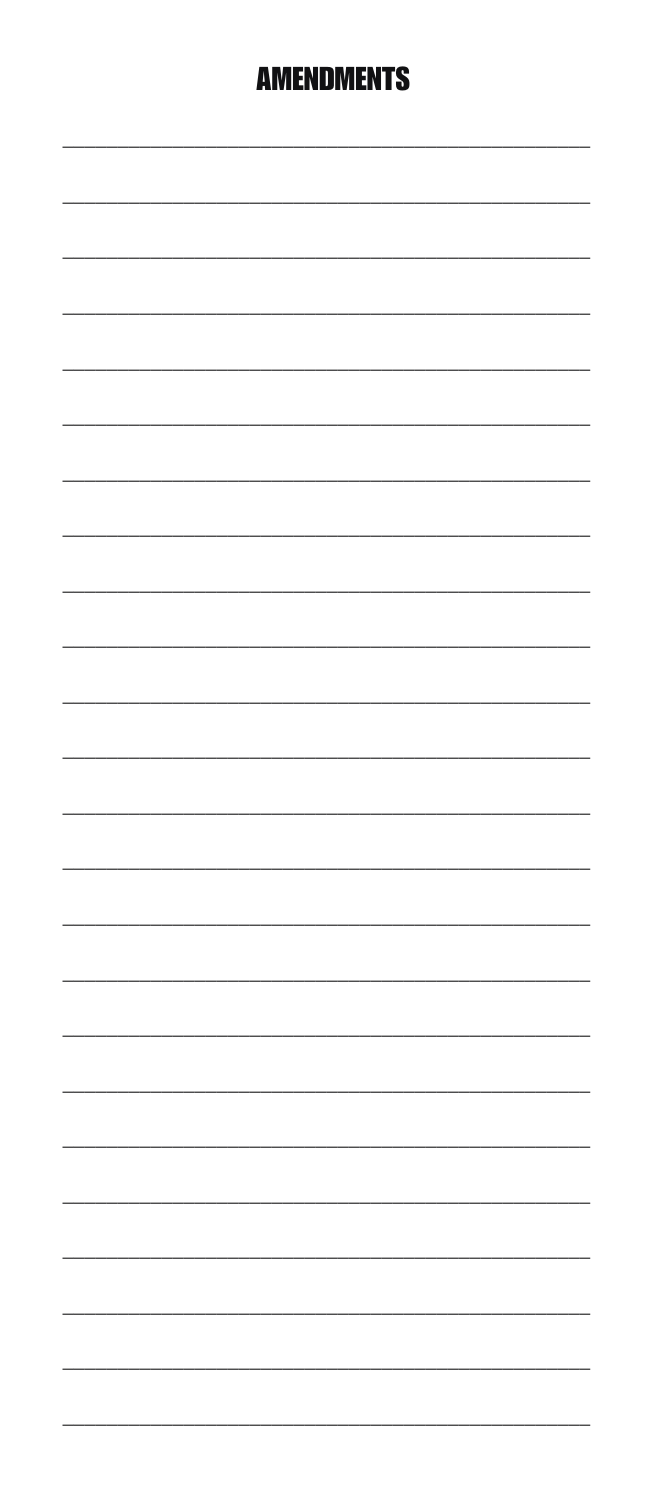# **AMENDMENTS**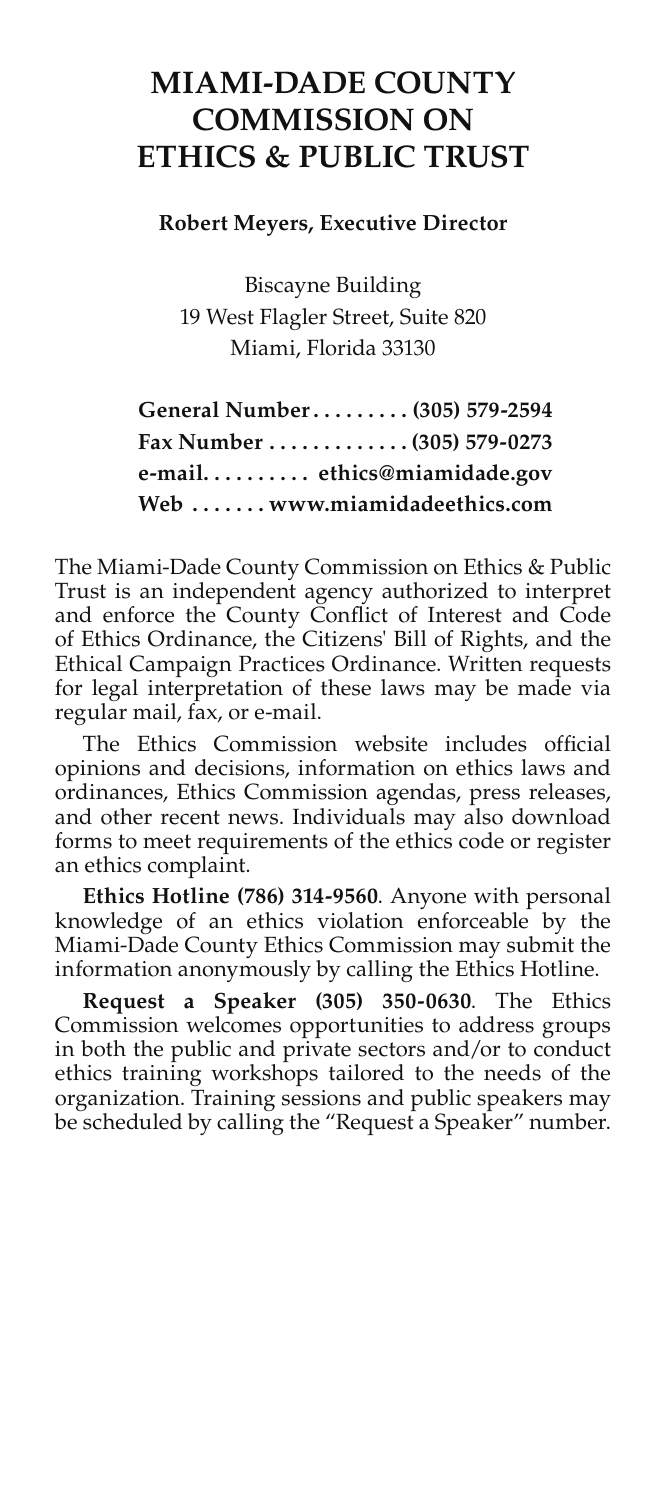# **MIAMI-DADE COUNTY COMMISSION ON ETHICS & PUBLIC TRUST**

**Robert Meyers, Executive Director**

Biscayne Building 19 West Flagler Street, Suite 820 Miami, Florida 33130

| General Number (305) 579-2594 |  |
|-------------------------------|--|
| Fax Number (305) 579-0273     |  |
| e-mail ethics@miamidade.gov   |  |
| Web  www.miamidadeethics.com  |  |

The Miami-Dade County Commission on Ethics & Public Trust is an independent agency authorized to interpret and enforce the County Conflict of Interest and Code of Ethics Ordinance, the Citizens' Bill of Rights, and the Ethical Campaign Practices Ordinance. Written requests for legal interpretation of these laws may be made via regular mail, fax, or e-mail.

The Ethics Commission website includes official opinions and decisions, information on ethics laws and ordinances, Ethics Commission agendas, press releases, and other recent news. Individuals may also download forms to meet requirements of the ethics code or register an ethics complaint.

**Ethics Hotline (786) 314-9560**. Anyone with personal knowledge of an ethics violation enforceable by the Miami-Dade County Ethics Commission may submit the information anonymously by calling the Ethics Hotline.

**Request a Speaker (305) 350-0630**. The Ethics Commission welcomes opportunities to address groups in both the public and private sectors and/or to conduct ethics training workshops tailored to the needs of the organization. Training sessions and public speakers may be scheduled by calling the "Request a Speaker" number.